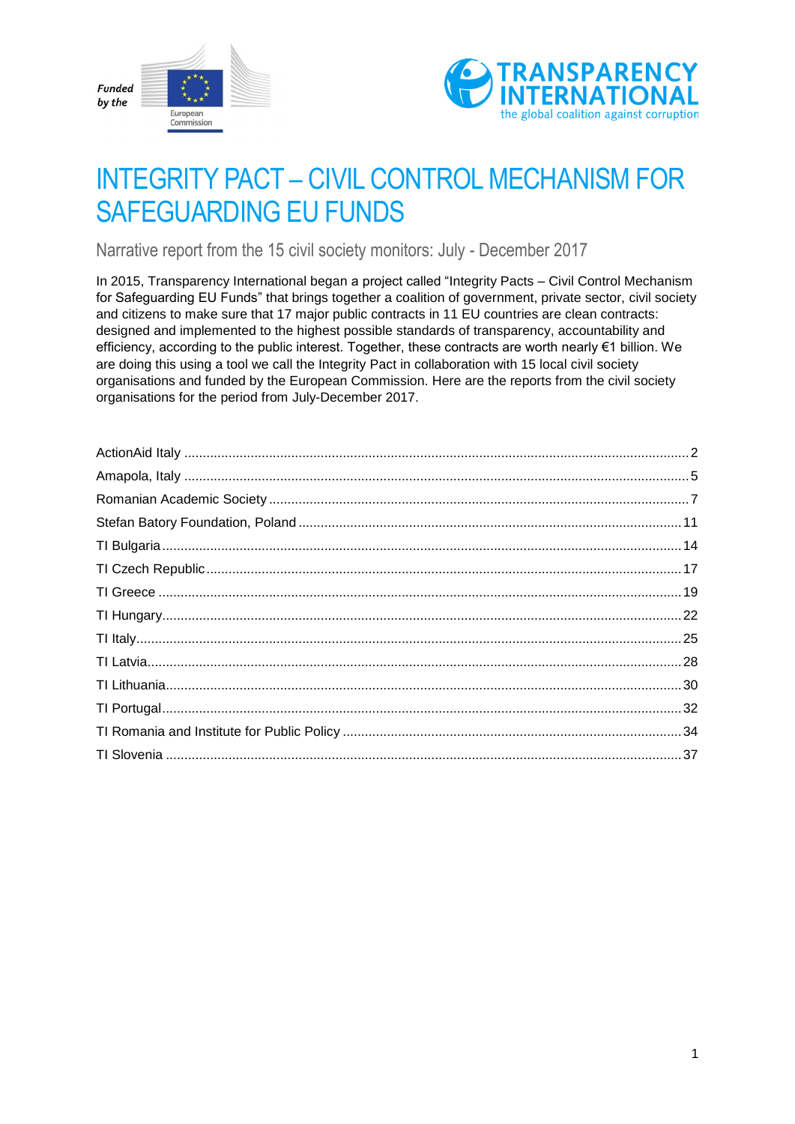



# INTEGRITY PACT – CIVIL CONTROL MECHANISM FOR SAFEGUARDING EU FUNDS

Narrative report from the 15 civil society monitors: July - December 2017

In 2015, Transparency International began a project called "Integrity Pacts – Civil Control Mechanism for Safeguarding EU Funds" that brings together a coalition of government, private sector, civil society and citizens to make sure that 17 major public contracts in 11 EU countries are clean contracts: designed and implemented to the highest possible standards of transparency, accountability and efficiency, according to the public interest. Together, these contracts are worth nearly €1 billion. We are doing this using a tool we call the Integrity Pact in collaboration with 15 local civil society organisations and funded by the European Commission. Here are the reports from the civil society organisations for the period from July-December 2017.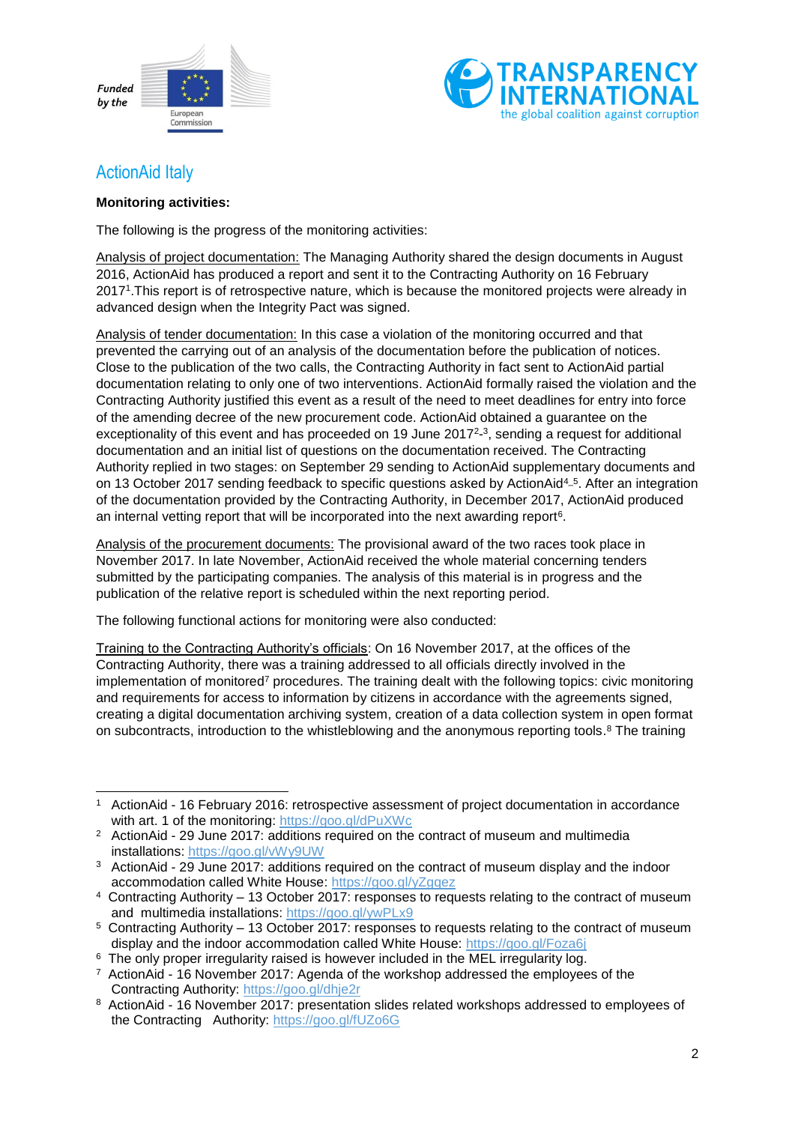



### <span id="page-1-0"></span>ActionAid Italy

#### **Monitoring activities:**

The following is the progress of the monitoring activities:

Analysis of project documentation: The Managing Authority shared the design documents in August 2016, ActionAid has produced a report and sent it to the Contracting Authority on 16 February 2017<sup>1</sup> .This report is of retrospective nature, which is because the monitored projects were already in advanced design when the Integrity Pact was signed.

Analysis of tender documentation: In this case a violation of the monitoring occurred and that prevented the carrying out of an analysis of the documentation before the publication of notices. Close to the publication of the two calls, the Contracting Authority in fact sent to ActionAid partial documentation relating to only one of two interventions. ActionAid formally raised the violation and the Contracting Authority justified this event as a result of the need to meet deadlines for entry into force of the amending decree of the new procurement code. ActionAid obtained a guarantee on the exceptionality of this event and has proceeded on 19 June 2017<sup>2</sup>-<sup>3</sup>, sending a request for additional documentation and an initial list of questions on the documentation received. The Contracting Authority replied in two stages: on September 29 sending to ActionAid supplementary documents and on 13 October 2017 sending feedback to specific questions asked by ActionAid<sup>4\_5</sup>. After an integration of the documentation provided by the Contracting Authority, in December 2017, ActionAid produced an internal vetting report that will be incorporated into the next awarding report $6$ .

Analysis of the procurement documents: The provisional award of the two races took place in November 2017. In late November, ActionAid received the whole material concerning tenders submitted by the participating companies. The analysis of this material is in progress and the publication of the relative report is scheduled within the next reporting period.

The following functional actions for monitoring were also conducted:

Training to the Contracting Authority's officials: On 16 November 2017, at the offices of the Contracting Authority, there was a training addressed to all officials directly involved in the implementation of monitored<sup>7</sup> procedures. The training dealt with the following topics: civic monitoring and requirements for access to information by citizens in accordance with the agreements signed, creating a digital documentation archiving system, creation of a data collection system in open format on subcontracts, introduction to the whistleblowing and the anonymous reporting tools.<sup>8</sup> The training

<sup>1</sup> <sup>1</sup> ActionAid - 16 February 2016: retrospective assessment of project documentation in accordance with art. 1 of the monitoring:<https://goo.gl/dPuXWc>

<sup>2</sup> ActionAid - 29 June 2017: additions required on the contract of museum and multimedia installations:<https://goo.gl/vWy9UW>

<sup>&</sup>lt;sup>3</sup> ActionAid - 29 June 2017: additions required on the contract of museum display and the indoor accommodation called White House:<https://goo.gl/yZgqez>

<sup>4</sup> Contracting Authority – 13 October 2017: responses to requests relating to the contract of museum and multimedia installations:<https://goo.gl/ywPLx9>

<sup>5</sup> Contracting Authority – 13 October 2017: responses to requests relating to the contract of museum display and the indoor accommodation called White House:<https://goo.gl/Foza6j>

 $6$  The only proper irregularity raised is however included in the MEL irregularity log.

<sup>&</sup>lt;sup>7</sup> ActionAid - 16 November 2017: Agenda of the workshop addressed the employees of the Contracting Authority:<https://goo.gl/dhje2r>

<sup>&</sup>lt;sup>8</sup> ActionAid - 16 November 2017: presentation slides related workshops addressed to employees of the Contracting Authority:<https://goo.gl/fUZo6G>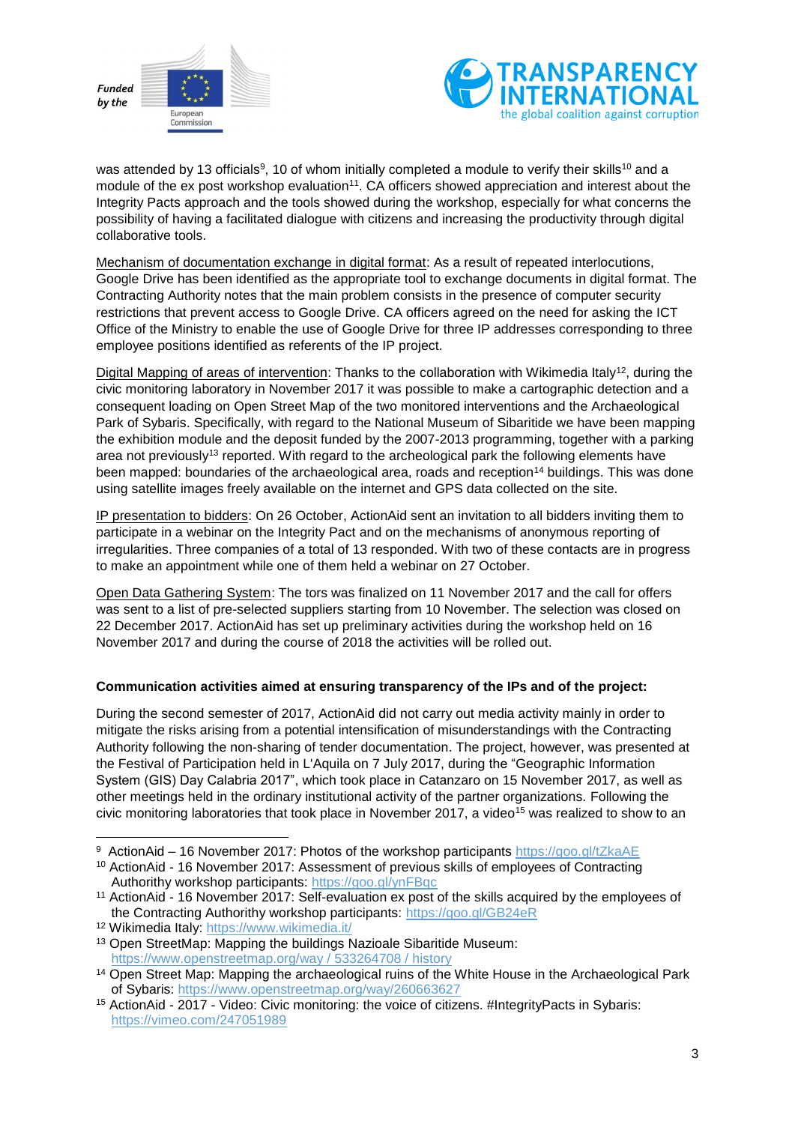



was attended by 13 officials<sup>9</sup>, 10 of whom initially completed a module to verify their skills<sup>10</sup> and a module of the ex post workshop evaluation<sup>11</sup>. CA officers showed appreciation and interest about the Integrity Pacts approach and the tools showed during the workshop, especially for what concerns the possibility of having a facilitated dialogue with citizens and increasing the productivity through digital collaborative tools.

Mechanism of documentation exchange in digital format: As a result of repeated interlocutions, Google Drive has been identified as the appropriate tool to exchange documents in digital format. The Contracting Authority notes that the main problem consists in the presence of computer security restrictions that prevent access to Google Drive. CA officers agreed on the need for asking the ICT Office of the Ministry to enable the use of Google Drive for three IP addresses corresponding to three employee positions identified as referents of the IP project.

Digital Mapping of areas of intervention: Thanks to the collaboration with Wikimedia Italy<sup>12</sup>, during the civic monitoring laboratory in November 2017 it was possible to make a cartographic detection and a consequent loading on Open Street Map of the two monitored interventions and the Archaeological Park of Sybaris. Specifically, with regard to the National Museum of Sibaritide we have been mapping the exhibition module and the deposit funded by the 2007-2013 programming, together with a parking area not previously<sup>13</sup> reported. With regard to the archeological park the following elements have been mapped: boundaries of the archaeological area, roads and reception<sup>14</sup> buildings. This was done using satellite images freely available on the internet and GPS data collected on the site.

IP presentation to bidders: On 26 October, ActionAid sent an invitation to all bidders inviting them to participate in a webinar on the Integrity Pact and on the mechanisms of anonymous reporting of irregularities. Three companies of a total of 13 responded. With two of these contacts are in progress to make an appointment while one of them held a webinar on 27 October.

Open Data Gathering System: The tors was finalized on 11 November 2017 and the call for offers was sent to a list of pre-selected suppliers starting from 10 November. The selection was closed on 22 December 2017. ActionAid has set up preliminary activities during the workshop held on 16 November 2017 and during the course of 2018 the activities will be rolled out.

#### **Communication activities aimed at ensuring transparency of the IPs and of the project:**

During the second semester of 2017, ActionAid did not carry out media activity mainly in order to mitigate the risks arising from a potential intensification of misunderstandings with the Contracting Authority following the non-sharing of tender documentation. The project, however, was presented at the Festival of Participation held in L'Aquila on 7 July 2017, during the "Geographic Information System (GIS) Day Calabria 2017", which took place in Catanzaro on 15 November 2017, as well as other meetings held in the ordinary institutional activity of the partner organizations. Following the civic monitoring laboratories that took place in November 2017, a video<sup>15</sup> was realized to show to an

<sup>1</sup> 9 ActionAid – 16 November 2017: Photos of the workshop participants https://goo.gl/tZkaAE

<sup>&</sup>lt;sup>10</sup> ActionAid - 16 November 2017: Assessment of previous skills of employees of Contracting Authorithy workshop participants:<https://goo.gl/ynFBqc>

<sup>&</sup>lt;sup>11</sup> ActionAid - 16 November 2017: Self-evaluation ex post of the skills acquired by the employees of the Contracting Authorithy workshop participants:<https://goo.gl/GB24eR>

<sup>12</sup> Wikimedia Italy:<https://www.wikimedia.it/>

<sup>13</sup> Open StreetMap: Mapping the buildings Nazioale Sibaritide Museum: [https://www.openstreetmap.org/way / 533264708 / history](https://www.openstreetmap.org/way/533264708/history)

<sup>&</sup>lt;sup>14</sup> Open Street Map: Mapping the archaeological ruins of the White House in the Archaeological Park of Sybaris:<https://www.openstreetmap.org/way/260663627>

<sup>15</sup> ActionAid - 2017 - Video: Civic monitoring: the voice of citizens. #IntegrityPacts in Sybaris: <https://vimeo.com/247051989>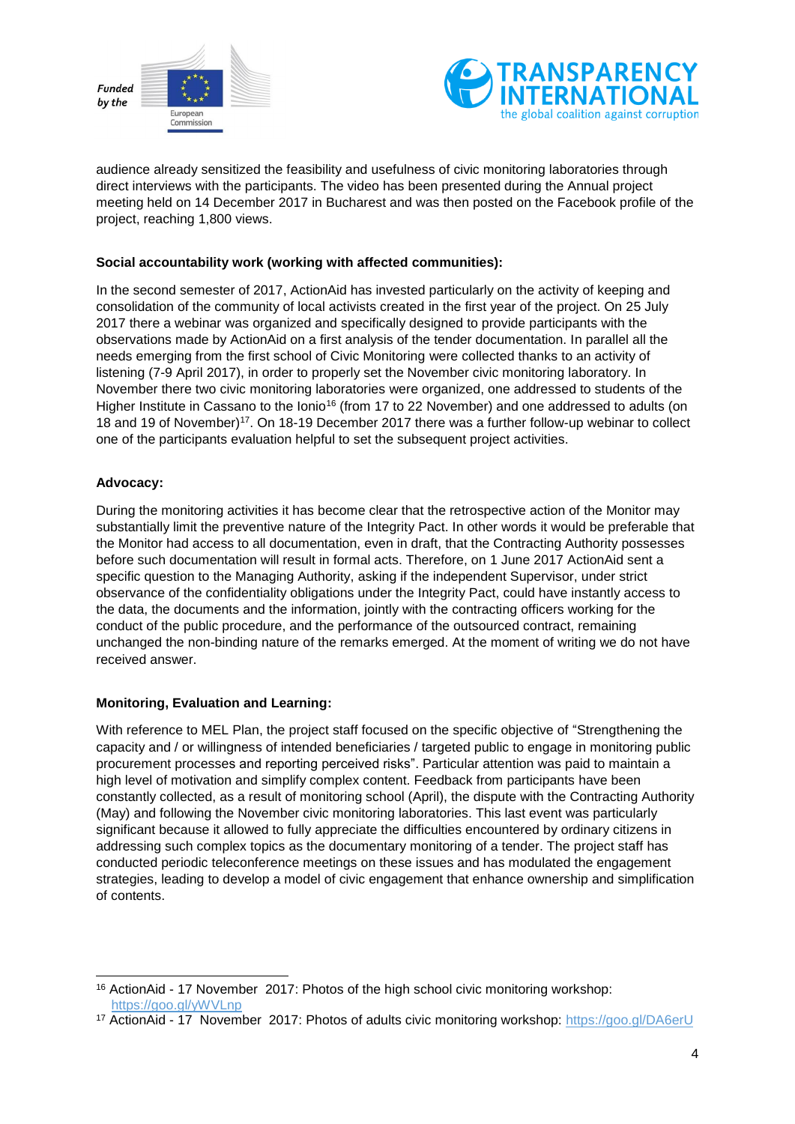



audience already sensitized the feasibility and usefulness of civic monitoring laboratories through direct interviews with the participants. The video has been presented during the Annual project meeting held on 14 December 2017 in Bucharest and was then posted on the Facebook profile of the project, reaching 1,800 views.

#### **Social accountability work (working with affected communities):**

In the second semester of 2017, ActionAid has invested particularly on the activity of keeping and consolidation of the community of local activists created in the first year of the project. On 25 July 2017 there a webinar was organized and specifically designed to provide participants with the observations made by ActionAid on a first analysis of the tender documentation. In parallel all the needs emerging from the first school of Civic Monitoring were collected thanks to an activity of listening (7-9 April 2017), in order to properly set the November civic monitoring laboratory. In November there two civic monitoring laboratories were organized, one addressed to students of the Higher Institute in Cassano to the Ionio<sup>16</sup> (from 17 to 22 November) and one addressed to adults (on 18 and 19 of November)<sup>17</sup>. On 18-19 December 2017 there was a further follow-up webinar to collect one of the participants evaluation helpful to set the subsequent project activities.

#### **Advocacy:**

During the monitoring activities it has become clear that the retrospective action of the Monitor may substantially limit the preventive nature of the Integrity Pact. In other words it would be preferable that the Monitor had access to all documentation, even in draft, that the Contracting Authority possesses before such documentation will result in formal acts. Therefore, on 1 June 2017 ActionAid sent a specific question to the Managing Authority, asking if the independent Supervisor, under strict observance of the confidentiality obligations under the Integrity Pact, could have instantly access to the data, the documents and the information, jointly with the contracting officers working for the conduct of the public procedure, and the performance of the outsourced contract, remaining unchanged the non-binding nature of the remarks emerged. At the moment of writing we do not have received answer.

#### **Monitoring, Evaluation and Learning:**

With reference to MEL Plan, the project staff focused on the specific objective of "Strengthening the capacity and / or willingness of intended beneficiaries / targeted public to engage in monitoring public procurement processes and reporting perceived risks". Particular attention was paid to maintain a high level of motivation and simplify complex content. Feedback from participants have been constantly collected, as a result of monitoring school (April), the dispute with the Contracting Authority (May) and following the November civic monitoring laboratories. This last event was particularly significant because it allowed to fully appreciate the difficulties encountered by ordinary citizens in addressing such complex topics as the documentary monitoring of a tender. The project staff has conducted periodic teleconference meetings on these issues and has modulated the engagement strategies, leading to develop a model of civic engagement that enhance ownership and simplification of contents.

<sup>1</sup> <sup>16</sup> ActionAid - 17 November 2017: Photos of the high school civic monitoring workshop: https://goo.gl/yWVLnp

<sup>17</sup> ActionAid - 17 November 2017: Photos of adults civic monitoring workshop:<https://goo.gl/DA6erU>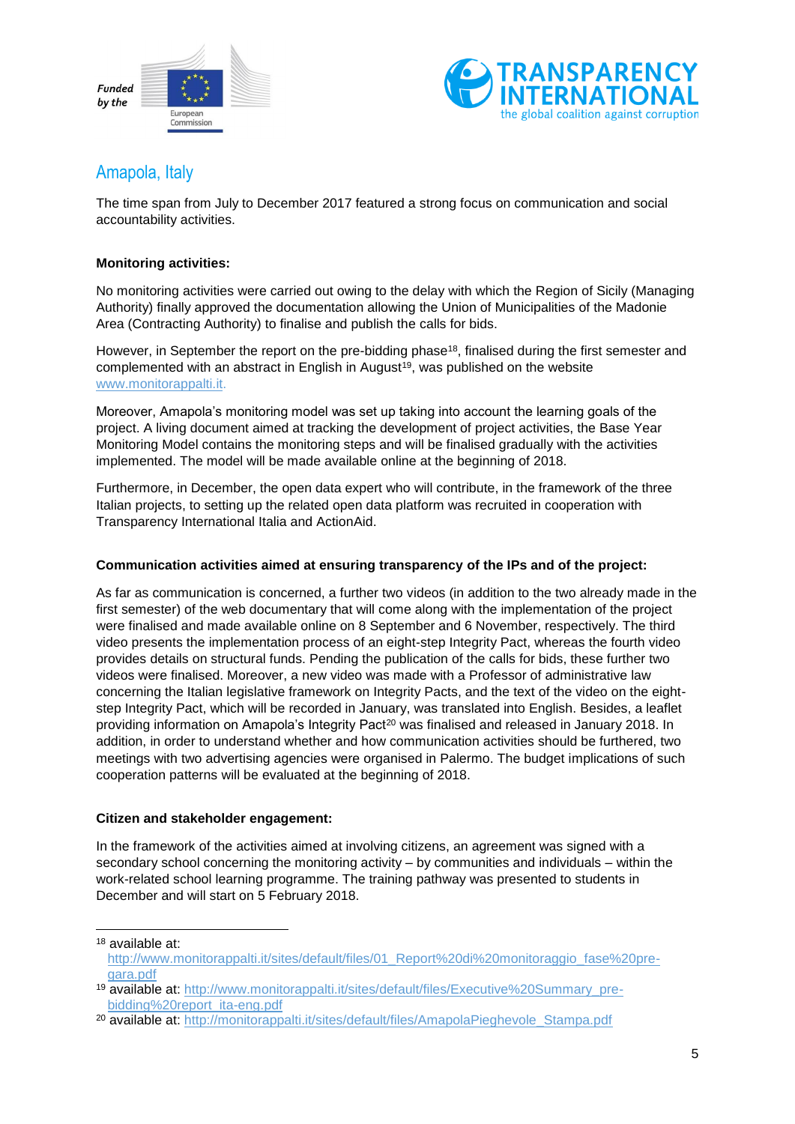



### <span id="page-4-0"></span>Amapola, Italy

The time span from July to December 2017 featured a strong focus on communication and social accountability activities.

#### **Monitoring activities:**

No monitoring activities were carried out owing to the delay with which the Region of Sicily (Managing Authority) finally approved the documentation allowing the Union of Municipalities of the Madonie Area (Contracting Authority) to finalise and publish the calls for bids.

However, in September the report on the pre-bidding phase<sup>18</sup>, finalised during the first semester and complemented with an abstract in English in August<sup>19</sup>, was published on the website [www.monitorappalti.it.](http://www.monitorappalti.it/)

Moreover, Amapola's monitoring model was set up taking into account the learning goals of the project. A living document aimed at tracking the development of project activities, the Base Year Monitoring Model contains the monitoring steps and will be finalised gradually with the activities implemented. The model will be made available online at the beginning of 2018.

Furthermore, in December, the open data expert who will contribute, in the framework of the three Italian projects, to setting up the related open data platform was recruited in cooperation with Transparency International Italia and ActionAid.

#### **Communication activities aimed at ensuring transparency of the IPs and of the project:**

As far as communication is concerned, a further two videos (in addition to the two already made in the first semester) of the web documentary that will come along with the implementation of the project were finalised and made available online on 8 September and 6 November, respectively. The third video presents the implementation process of an eight-step Integrity Pact, whereas the fourth video provides details on structural funds. Pending the publication of the calls for bids, these further two videos were finalised. Moreover, a new video was made with a Professor of administrative law concerning the Italian legislative framework on Integrity Pacts, and the text of the video on the eightstep Integrity Pact, which will be recorded in January, was translated into English. Besides, a leaflet providing information on Amapola's Integrity Pact<sup>20</sup> was finalised and released in January 2018. In addition, in order to understand whether and how communication activities should be furthered, two meetings with two advertising agencies were organised in Palermo. The budget implications of such cooperation patterns will be evaluated at the beginning of 2018.

#### **Citizen and stakeholder engagement:**

1

In the framework of the activities aimed at involving citizens, an agreement was signed with a secondary school concerning the monitoring activity – by communities and individuals – within the work-related school learning programme. The training pathway was presented to students in December and will start on 5 February 2018.

<sup>18</sup> available at: http://www.monitorappalti.it/sites/default/files/01\_Report%20di%20monitoraggio\_fase%20pregara.pdf

<sup>&</sup>lt;sup>19</sup> available at: http://www.monitorappalti.it/sites/default/files/Executive%20Summary\_prebidding%20report\_ita-eng.pdf

<sup>&</sup>lt;sup>20</sup> available at: http://monitorappalti.it/sites/default/files/AmapolaPieghevole\_Stampa.pdf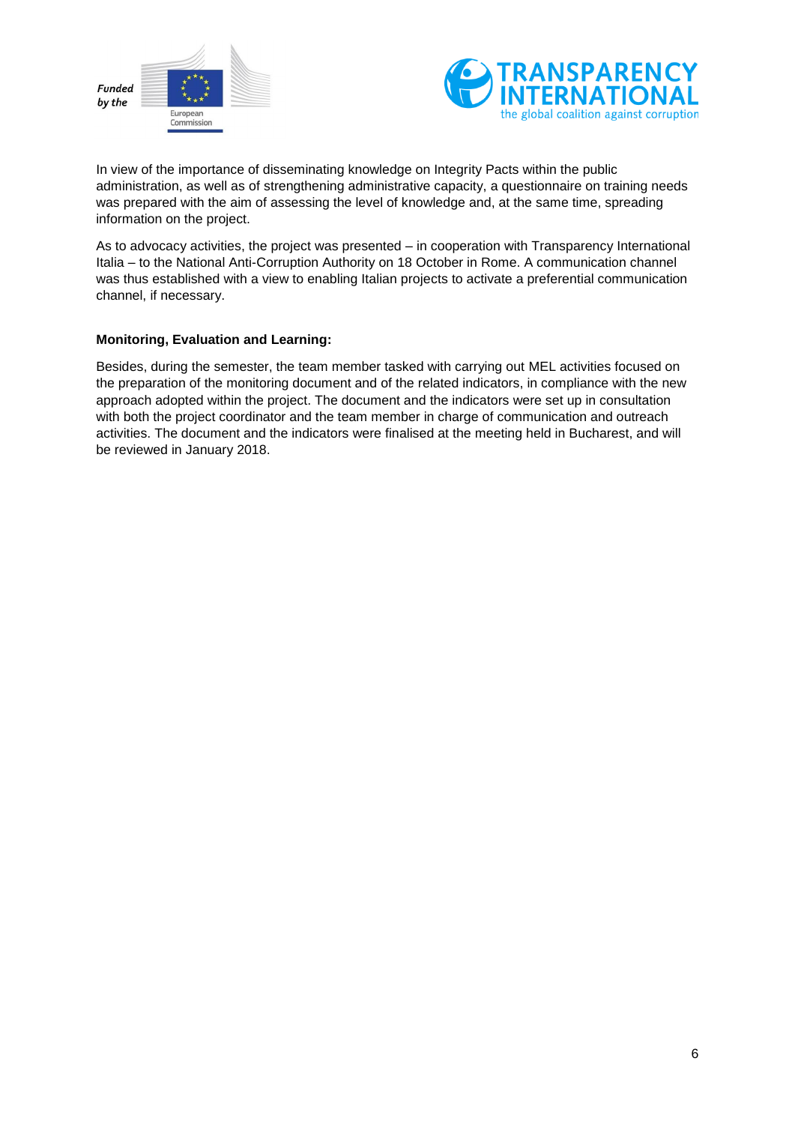



In view of the importance of disseminating knowledge on Integrity Pacts within the public administration, as well as of strengthening administrative capacity, a questionnaire on training needs was prepared with the aim of assessing the level of knowledge and, at the same time, spreading information on the project.

As to advocacy activities, the project was presented – in cooperation with Transparency International Italia – to the National Anti-Corruption Authority on 18 October in Rome. A communication channel was thus established with a view to enabling Italian projects to activate a preferential communication channel, if necessary.

#### **Monitoring, Evaluation and Learning:**

Besides, during the semester, the team member tasked with carrying out MEL activities focused on the preparation of the monitoring document and of the related indicators, in compliance with the new approach adopted within the project. The document and the indicators were set up in consultation with both the project coordinator and the team member in charge of communication and outreach activities. The document and the indicators were finalised at the meeting held in Bucharest, and will be reviewed in January 2018.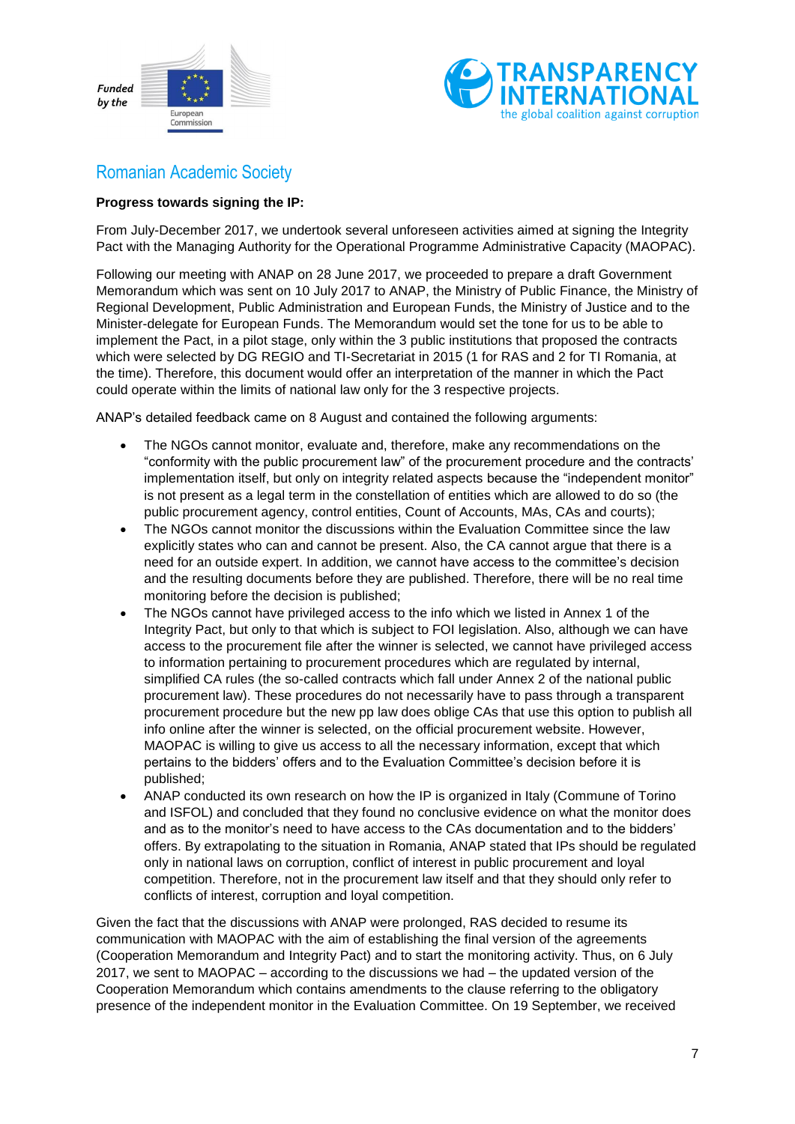



### <span id="page-6-0"></span>Romanian Academic Society

#### **Progress towards signing the IP:**

From July-December 2017, we undertook several unforeseen activities aimed at signing the Integrity Pact with the Managing Authority for the Operational Programme Administrative Capacity (MAOPAC).

Following our meeting with ANAP on 28 June 2017, we proceeded to prepare a draft Government Memorandum which was sent on 10 July 2017 to ANAP, the Ministry of Public Finance, the Ministry of Regional Development, Public Administration and European Funds, the Ministry of Justice and to the Minister-delegate for European Funds. The Memorandum would set the tone for us to be able to implement the Pact, in a pilot stage, only within the 3 public institutions that proposed the contracts which were selected by DG REGIO and TI-Secretariat in 2015 (1 for RAS and 2 for TI Romania, at the time). Therefore, this document would offer an interpretation of the manner in which the Pact could operate within the limits of national law only for the 3 respective projects.

ANAP's detailed feedback came on 8 August and contained the following arguments:

- The NGOs cannot monitor, evaluate and, therefore, make any recommendations on the "conformity with the public procurement law" of the procurement procedure and the contracts' implementation itself, but only on integrity related aspects because the "independent monitor" is not present as a legal term in the constellation of entities which are allowed to do so (the public procurement agency, control entities, Count of Accounts, MAs, CAs and courts);
- The NGOs cannot monitor the discussions within the Evaluation Committee since the law explicitly states who can and cannot be present. Also, the CA cannot argue that there is a need for an outside expert. In addition, we cannot have access to the committee's decision and the resulting documents before they are published. Therefore, there will be no real time monitoring before the decision is published;
- The NGOs cannot have privileged access to the info which we listed in Annex 1 of the Integrity Pact, but only to that which is subject to FOI legislation. Also, although we can have access to the procurement file after the winner is selected, we cannot have privileged access to information pertaining to procurement procedures which are regulated by internal, simplified CA rules (the so-called contracts which fall under Annex 2 of the national public procurement law). These procedures do not necessarily have to pass through a transparent procurement procedure but the new pp law does oblige CAs that use this option to publish all info online after the winner is selected, on the official procurement website. However, MAOPAC is willing to give us access to all the necessary information, except that which pertains to the bidders' offers and to the Evaluation Committee's decision before it is published;
- ANAP conducted its own research on how the IP is organized in Italy (Commune of Torino and ISFOL) and concluded that they found no conclusive evidence on what the monitor does and as to the monitor's need to have access to the CAs documentation and to the bidders' offers. By extrapolating to the situation in Romania, ANAP stated that IPs should be regulated only in national laws on corruption, conflict of interest in public procurement and loyal competition. Therefore, not in the procurement law itself and that they should only refer to conflicts of interest, corruption and loyal competition.

Given the fact that the discussions with ANAP were prolonged, RAS decided to resume its communication with MAOPAC with the aim of establishing the final version of the agreements (Cooperation Memorandum and Integrity Pact) and to start the monitoring activity. Thus, on 6 July 2017, we sent to MAOPAC – according to the discussions we had – the updated version of the Cooperation Memorandum which contains amendments to the clause referring to the obligatory presence of the independent monitor in the Evaluation Committee. On 19 September, we received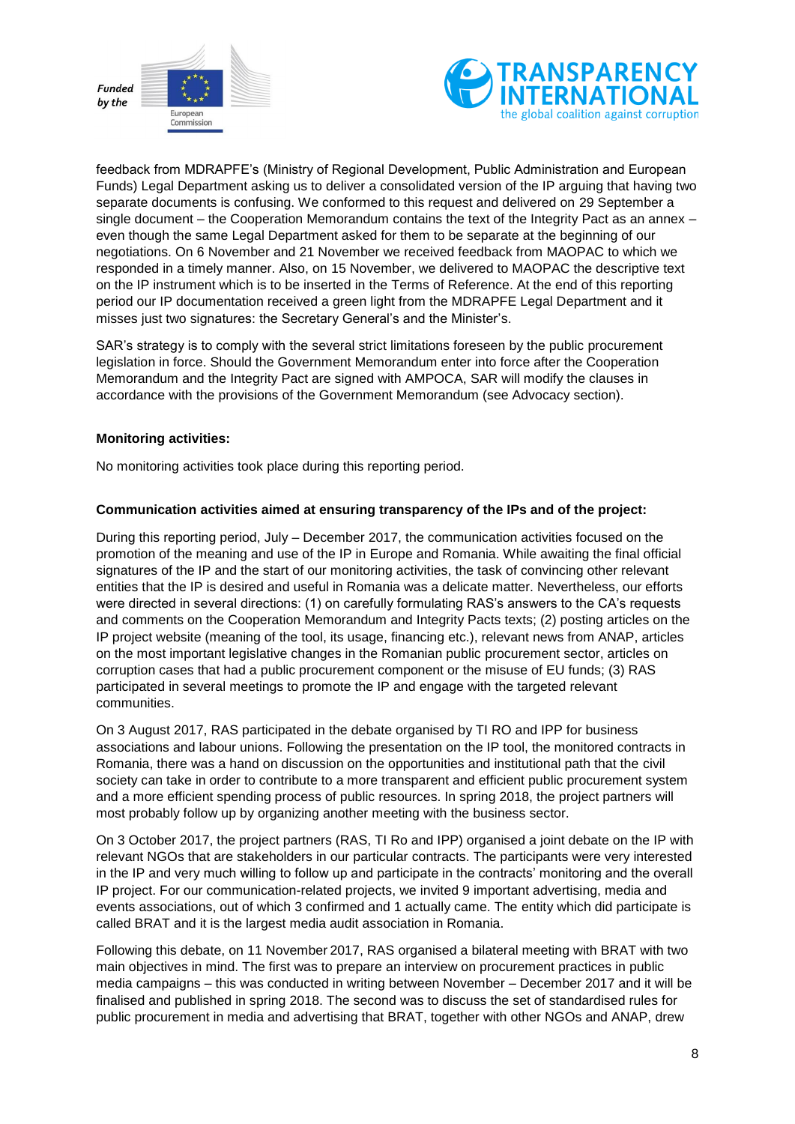



feedback from MDRAPFE's (Ministry of Regional Development, Public Administration and European Funds) Legal Department asking us to deliver a consolidated version of the IP arguing that having two separate documents is confusing. We conformed to this request and delivered on 29 September a single document – the Cooperation Memorandum contains the text of the Integrity Pact as an annex – even though the same Legal Department asked for them to be separate at the beginning of our negotiations. On 6 November and 21 November we received feedback from MAOPAC to which we responded in a timely manner. Also, on 15 November, we delivered to MAOPAC the descriptive text on the IP instrument which is to be inserted in the Terms of Reference. At the end of this reporting period our IP documentation received a green light from the MDRAPFE Legal Department and it misses just two signatures: the Secretary General's and the Minister's.

SAR's strategy is to comply with the several strict limitations foreseen by the public procurement legislation in force. Should the Government Memorandum enter into force after the Cooperation Memorandum and the Integrity Pact are signed with AMPOCA, SAR will modify the clauses in accordance with the provisions of the Government Memorandum (see Advocacy section).

#### **Monitoring activities:**

No monitoring activities took place during this reporting period.

#### **Communication activities aimed at ensuring transparency of the IPs and of the project:**

During this reporting period, July – December 2017, the communication activities focused on the promotion of the meaning and use of the IP in Europe and Romania. While awaiting the final official signatures of the IP and the start of our monitoring activities, the task of convincing other relevant entities that the IP is desired and useful in Romania was a delicate matter. Nevertheless, our efforts were directed in several directions: (1) on carefully formulating RAS's answers to the CA's requests and comments on the Cooperation Memorandum and Integrity Pacts texts; (2) posting articles on the IP project website (meaning of the tool, its usage, financing etc.), relevant news from ANAP, articles on the most important legislative changes in the Romanian public procurement sector, articles on corruption cases that had a public procurement component or the misuse of EU funds; (3) RAS participated in several meetings to promote the IP and engage with the targeted relevant communities.

On 3 August 2017, RAS participated in the debate organised by TI RO and IPP for business associations and labour unions. Following the presentation on the IP tool, the monitored contracts in Romania, there was a hand on discussion on the opportunities and institutional path that the civil society can take in order to contribute to a more transparent and efficient public procurement system and a more efficient spending process of public resources. In spring 2018, the project partners will most probably follow up by organizing another meeting with the business sector.

On 3 October 2017, the project partners (RAS, TI Ro and IPP) organised a joint debate on the IP with relevant NGOs that are stakeholders in our particular contracts. The participants were very interested in the IP and very much willing to follow up and participate in the contracts' monitoring and the overall IP project. For our communication-related projects, we invited 9 important advertising, media and events associations, out of which 3 confirmed and 1 actually came. The entity which did participate is called BRAT and it is the largest media audit association in Romania.

Following this debate, on 11 November 2017, RAS organised a bilateral meeting with BRAT with two main objectives in mind. The first was to prepare an interview on procurement practices in public media campaigns – this was conducted in writing between November – December 2017 and it will be finalised and published in spring 2018. The second was to discuss the set of standardised rules for public procurement in media and advertising that BRAT, together with other NGOs and ANAP, drew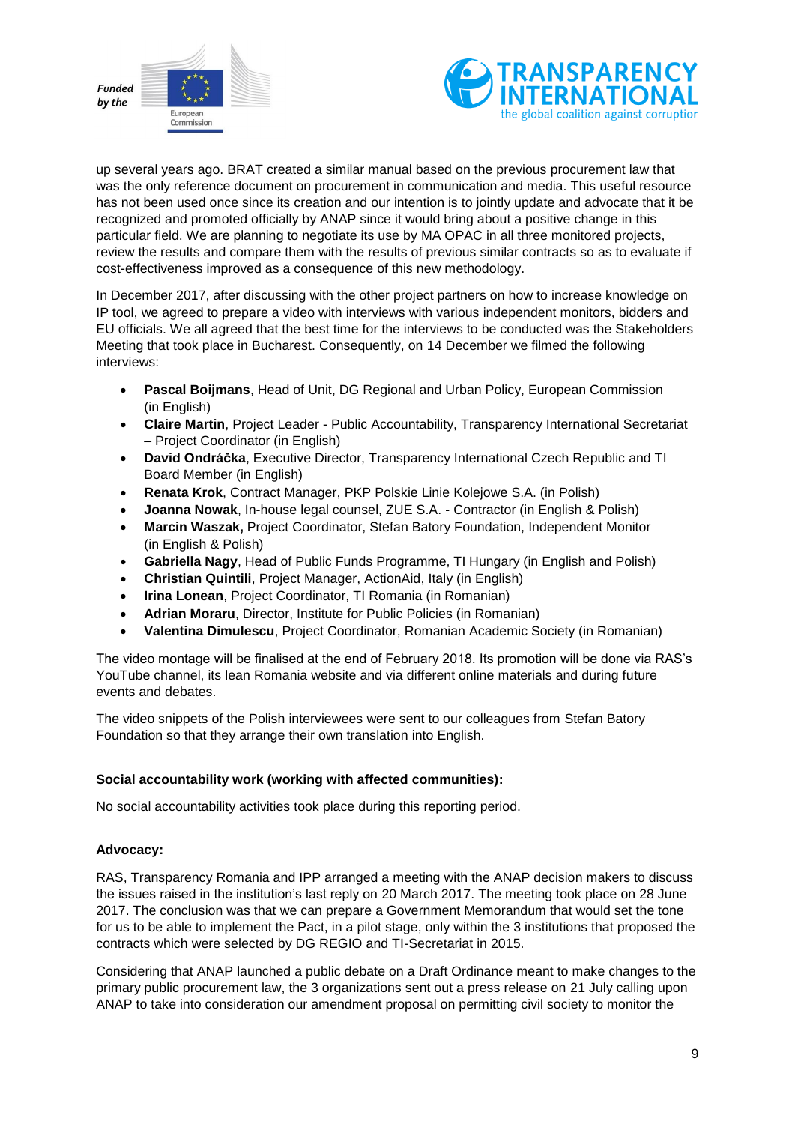



up several years ago. BRAT created a similar manual based on the previous procurement law that was the only reference document on procurement in communication and media. This useful resource has not been used once since its creation and our intention is to jointly update and advocate that it be recognized and promoted officially by ANAP since it would bring about a positive change in this particular field. We are planning to negotiate its use by MA OPAC in all three monitored projects, review the results and compare them with the results of previous similar contracts so as to evaluate if cost-effectiveness improved as a consequence of this new methodology.

In December 2017, after discussing with the other project partners on how to increase knowledge on IP tool, we agreed to prepare a video with interviews with various independent monitors, bidders and EU officials. We all agreed that the best time for the interviews to be conducted was the Stakeholders Meeting that took place in Bucharest. Consequently, on 14 December we filmed the following interviews:

- **Pascal Boijmans**, Head of Unit, DG Regional and Urban Policy, European Commission (in English)
- **Claire Martin**, Project Leader Public Accountability, Transparency International Secretariat – Project Coordinator (in English)
- **David Ondráčka**, Executive Director, Transparency International Czech Republic and TI Board Member (in English)
- **Renata Krok**, Contract Manager, PKP Polskie Linie Kolejowe S.A. (in Polish)
- **Joanna Nowak**, In-house legal counsel, ZUE S.A. Contractor (in English & Polish)
- **Marcin Waszak,** Project Coordinator, Stefan Batory Foundation, Independent Monitor (in English & Polish)
- **Gabriella Nagy**, Head of Public Funds Programme, TI Hungary (in English and Polish)
- **Christian Quintili**, Project Manager, ActionAid, Italy (in English)
- **Irina Lonean**, Project Coordinator, TI Romania (in Romanian)
- **Adrian Moraru**, Director, Institute for Public Policies (in Romanian)
- **Valentina Dimulescu**, Project Coordinator, Romanian Academic Society (in Romanian)

The video montage will be finalised at the end of February 2018. Its promotion will be done via RAS's YouTube channel, its lean Romania website and via different online materials and during future events and debates.

The video snippets of the Polish interviewees were sent to our colleagues from Stefan Batory Foundation so that they arrange their own translation into English.

#### **Social accountability work (working with affected communities):**

No social accountability activities took place during this reporting period.

#### **Advocacy:**

RAS, Transparency Romania and IPP arranged a meeting with the ANAP decision makers to discuss the issues raised in the institution's last reply on 20 March 2017. The meeting took place on 28 June 2017. The conclusion was that we can prepare a Government Memorandum that would set the tone for us to be able to implement the Pact, in a pilot stage, only within the 3 institutions that proposed the contracts which were selected by DG REGIO and TI-Secretariat in 2015.

Considering that ANAP launched a public debate on a Draft Ordinance meant to make changes to the primary public procurement law, the 3 organizations sent out a press release on 21 July calling upon ANAP to take into consideration our amendment proposal on permitting civil society to monitor the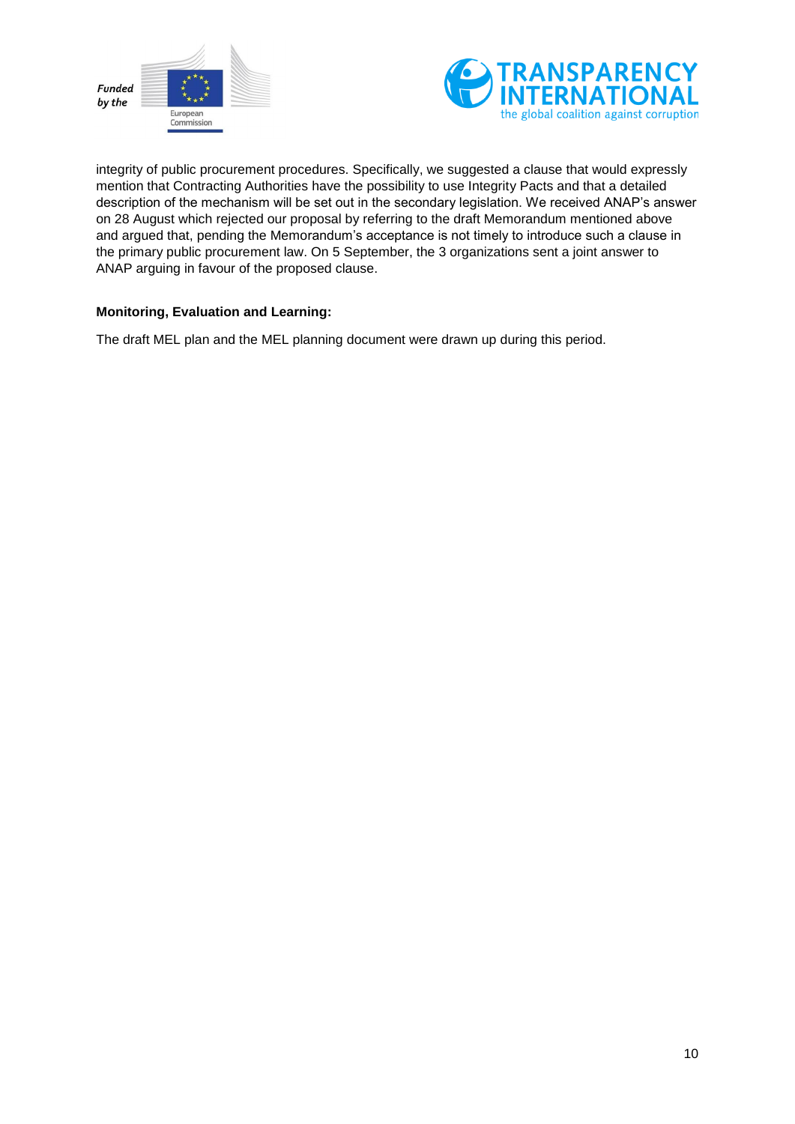



integrity of public procurement procedures. Specifically, we suggested a clause that would expressly mention that Contracting Authorities have the possibility to use Integrity Pacts and that a detailed description of the mechanism will be set out in the secondary legislation. We received ANAP's answer on 28 August which rejected our proposal by referring to the draft Memorandum mentioned above and argued that, pending the Memorandum's acceptance is not timely to introduce such a clause in the primary public procurement law. On 5 September, the 3 organizations sent a joint answer to ANAP arguing in favour of the proposed clause.

#### **Monitoring, Evaluation and Learning:**

The draft MEL plan and the MEL planning document were drawn up during this period.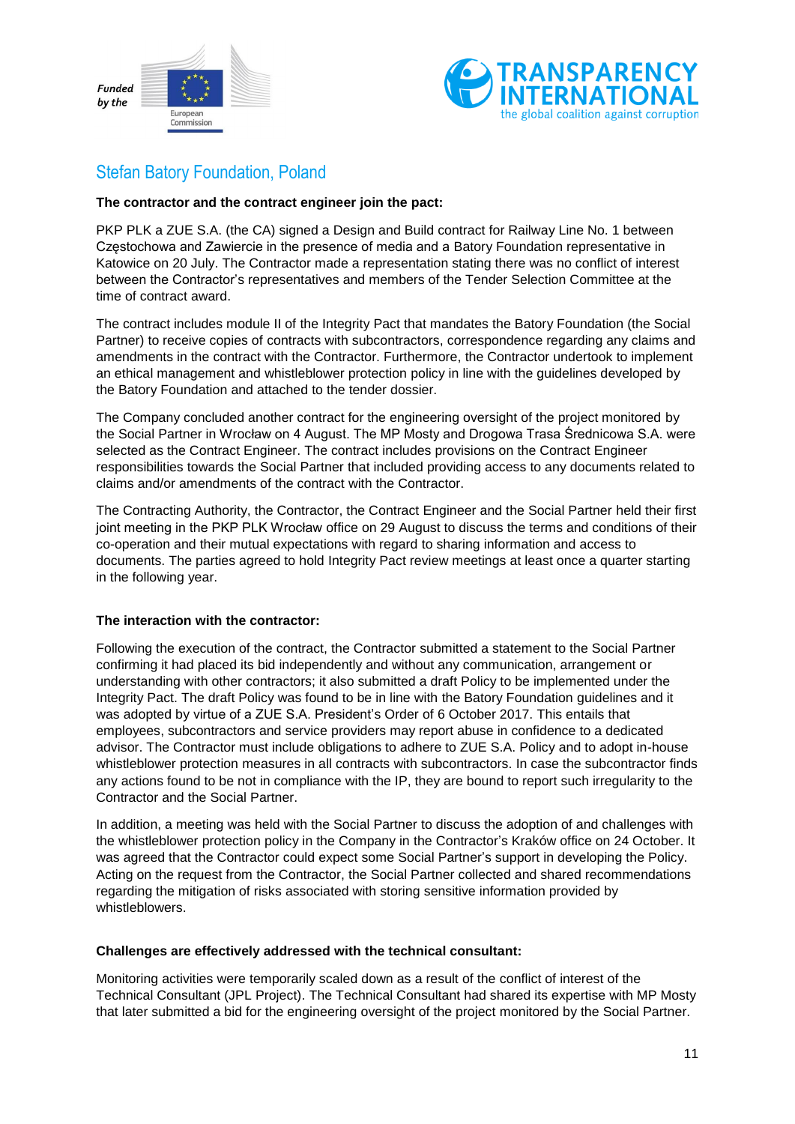



### <span id="page-10-0"></span>Stefan Batory Foundation, Poland

#### **The contractor and the contract engineer join the pact:**

PKP PLK a ZUE S.A. (the CA) signed a Design and Build contract for Railway Line No. 1 between Częstochowa and Zawiercie in the presence of media and a Batory Foundation representative in Katowice on 20 July. The Contractor made a representation stating there was no conflict of interest between the Contractor's representatives and members of the Tender Selection Committee at the time of contract award.

The contract includes module II of the Integrity Pact that mandates the Batory Foundation (the Social Partner) to receive copies of contracts with subcontractors, correspondence regarding any claims and amendments in the contract with the Contractor. Furthermore, the Contractor undertook to implement an ethical management and whistleblower protection policy in line with the guidelines developed by the Batory Foundation and attached to the tender dossier.

The Company concluded another contract for the engineering oversight of the project monitored by the Social Partner in Wrocław on 4 August. The MP Mosty and Drogowa Trasa Średnicowa S.A. were selected as the Contract Engineer. The contract includes provisions on the Contract Engineer responsibilities towards the Social Partner that included providing access to any documents related to claims and/or amendments of the contract with the Contractor.

The Contracting Authority, the Contractor, the Contract Engineer and the Social Partner held their first joint meeting in the PKP PLK Wrocław office on 29 August to discuss the terms and conditions of their co-operation and their mutual expectations with regard to sharing information and access to documents. The parties agreed to hold Integrity Pact review meetings at least once a quarter starting in the following year.

#### **The interaction with the contractor:**

Following the execution of the contract, the Contractor submitted a statement to the Social Partner confirming it had placed its bid independently and without any communication, arrangement or understanding with other contractors; it also submitted a draft Policy to be implemented under the Integrity Pact. The draft Policy was found to be in line with the Batory Foundation guidelines and it was adopted by virtue of a ZUE S.A. President's Order of 6 October 2017. This entails that employees, subcontractors and service providers may report abuse in confidence to a dedicated advisor. The Contractor must include obligations to adhere to ZUE S.A. Policy and to adopt in-house whistleblower protection measures in all contracts with subcontractors. In case the subcontractor finds any actions found to be not in compliance with the IP, they are bound to report such irregularity to the Contractor and the Social Partner.

In addition, a meeting was held with the Social Partner to discuss the adoption of and challenges with the whistleblower protection policy in the Company in the Contractor's Kraków office on 24 October. It was agreed that the Contractor could expect some Social Partner's support in developing the Policy. Acting on the request from the Contractor, the Social Partner collected and shared recommendations regarding the mitigation of risks associated with storing sensitive information provided by whistleblowers.

#### **Challenges are effectively addressed with the technical consultant:**

Monitoring activities were temporarily scaled down as a result of the conflict of interest of the Technical Consultant (JPL Project). The Technical Consultant had shared its expertise with MP Mosty that later submitted a bid for the engineering oversight of the project monitored by the Social Partner.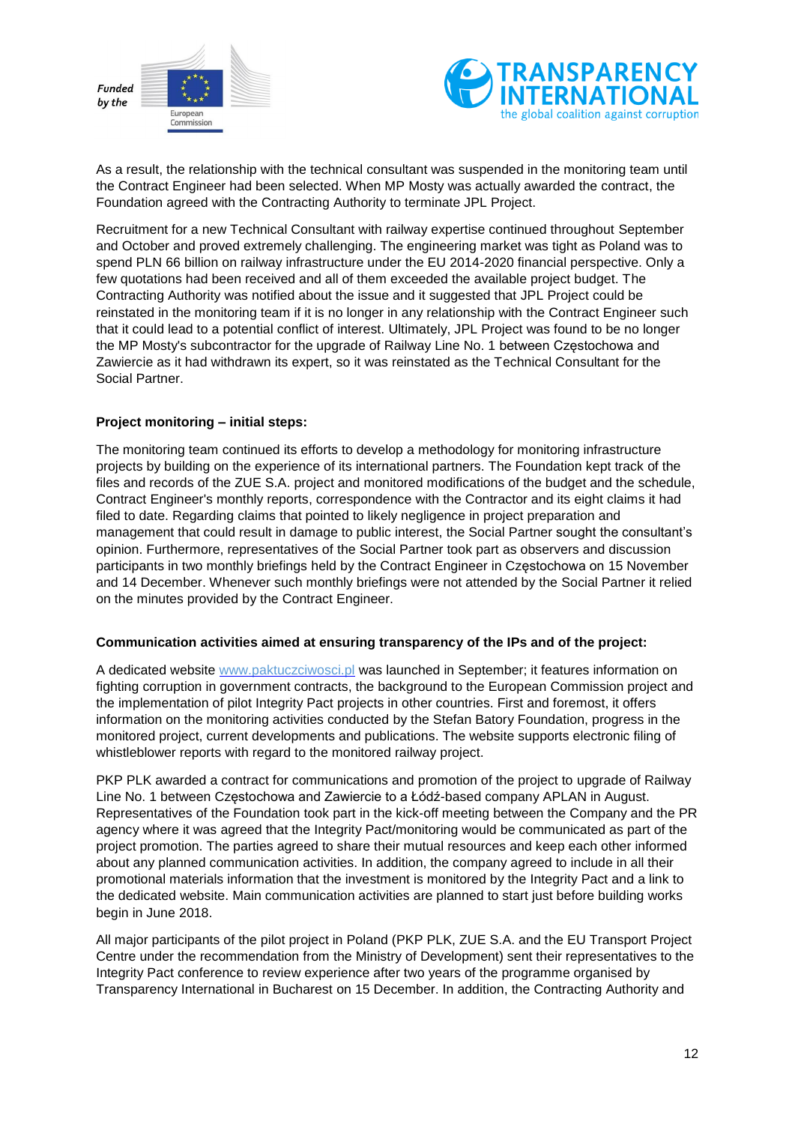



As a result, the relationship with the technical consultant was suspended in the monitoring team until the Contract Engineer had been selected. When MP Mosty was actually awarded the contract, the Foundation agreed with the Contracting Authority to terminate JPL Project.

Recruitment for a new Technical Consultant with railway expertise continued throughout September and October and proved extremely challenging. The engineering market was tight as Poland was to spend PLN 66 billion on railway infrastructure under the EU 2014-2020 financial perspective. Only a few quotations had been received and all of them exceeded the available project budget. The Contracting Authority was notified about the issue and it suggested that JPL Project could be reinstated in the monitoring team if it is no longer in any relationship with the Contract Engineer such that it could lead to a potential conflict of interest. Ultimately, JPL Project was found to be no longer the MP Mosty's subcontractor for the upgrade of Railway Line No. 1 between Częstochowa and Zawiercie as it had withdrawn its expert, so it was reinstated as the Technical Consultant for the Social Partner.

#### **Project monitoring – initial steps:**

The monitoring team continued its efforts to develop a methodology for monitoring infrastructure projects by building on the experience of its international partners. The Foundation kept track of the files and records of the ZUE S.A. project and monitored modifications of the budget and the schedule, Contract Engineer's monthly reports, correspondence with the Contractor and its eight claims it had filed to date. Regarding claims that pointed to likely negligence in project preparation and management that could result in damage to public interest, the Social Partner sought the consultant's opinion. Furthermore, representatives of the Social Partner took part as observers and discussion participants in two monthly briefings held by the Contract Engineer in Częstochowa on 15 November and 14 December. Whenever such monthly briefings were not attended by the Social Partner it relied on the minutes provided by the Contract Engineer.

#### **Communication activities aimed at ensuring transparency of the IPs and of the project:**

A dedicated website [www.paktuczciwosci.pl](http://www.paktuczciwosci.pl/) was launched in September; it features information on fighting corruption in government contracts, the background to the European Commission project and the implementation of pilot Integrity Pact projects in other countries. First and foremost, it offers information on the monitoring activities conducted by the Stefan Batory Foundation, progress in the monitored project, current developments and publications. The website supports electronic filing of whistleblower reports with regard to the monitored railway project.

PKP PLK awarded a contract for communications and promotion of the project to upgrade of Railway Line No. 1 between Częstochowa and Zawiercie to a Łódź-based company APLAN in August. Representatives of the Foundation took part in the kick-off meeting between the Company and the PR agency where it was agreed that the Integrity Pact/monitoring would be communicated as part of the project promotion. The parties agreed to share their mutual resources and keep each other informed about any planned communication activities. In addition, the company agreed to include in all their promotional materials information that the investment is monitored by the Integrity Pact and a link to the dedicated website. Main communication activities are planned to start just before building works begin in June 2018.

All major participants of the pilot project in Poland (PKP PLK, ZUE S.A. and the EU Transport Project Centre under the recommendation from the Ministry of Development) sent their representatives to the Integrity Pact conference to review experience after two years of the programme organised by Transparency International in Bucharest on 15 December. In addition, the Contracting Authority and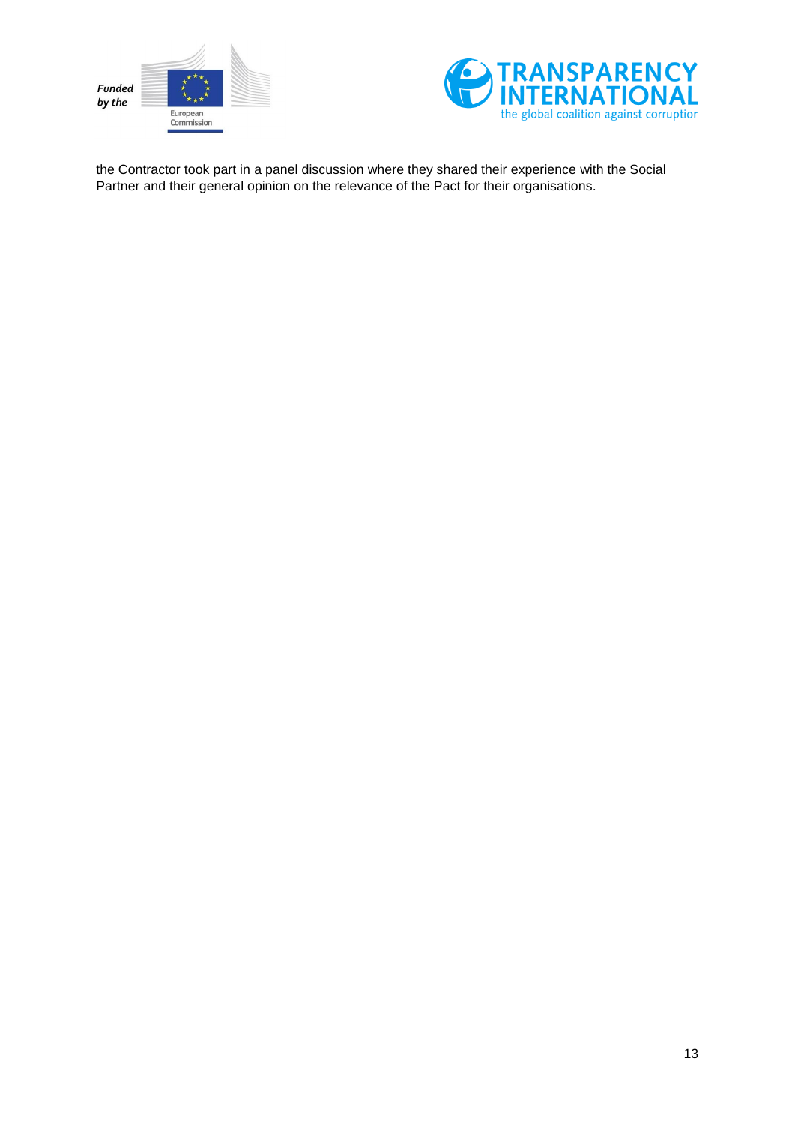



the Contractor took part in a panel discussion where they shared their experience with the Social Partner and their general opinion on the relevance of the Pact for their organisations.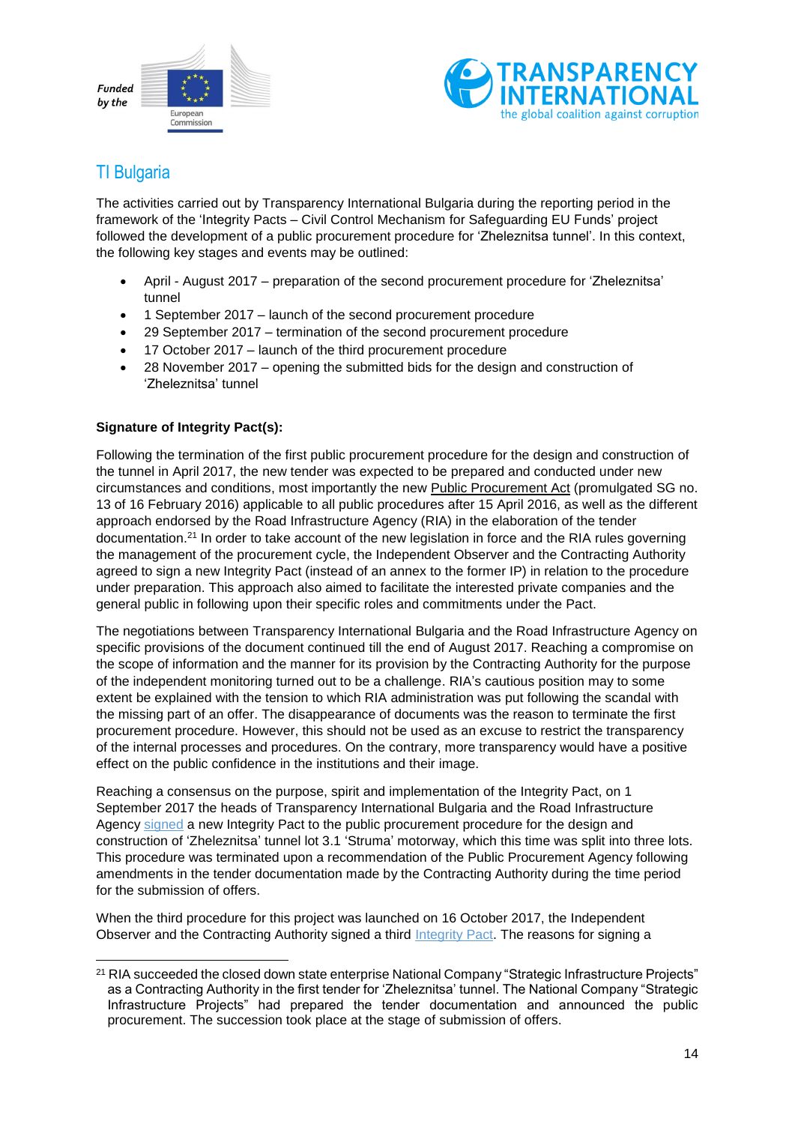



# <span id="page-13-0"></span>TI Bulgaria

The activities carried out by Transparency International Bulgaria during the reporting period in the framework of the 'Integrity Pacts – Civil Control Mechanism for Safeguarding EU Funds' project followed the development of a public procurement procedure for 'Zheleznitsa tunnel'. In this context, the following key stages and events may be outlined:

- April August 2017 preparation of the second procurement procedure for 'Zheleznitsa' tunnel
- 1 September 2017 launch of the second procurement procedure
- 29 September 2017 termination of the second procurement procedure
- 17 October 2017 launch of the third procurement procedure
- 28 November 2017 opening the submitted bids for the design and construction of 'Zheleznitsa' tunnel

#### **Signature of Integrity Pact(s):**

Following the termination of the first public procurement procedure for the design and construction of the tunnel in April 2017, the new tender was expected to be prepared and conducted under new circumstances and conditions, most importantly the new Public [Procurement](http://www.aop.bg/fckedit2/user/File/en/Normativna%20baza/ZOP_03_05_2016_EN.pdf) Act (promulgated SG no. 13 of 16 February 2016) applicable to all public procedures after 15 April 2016, as well as the different approach endorsed by the Road Infrastructure Agency (RIA) in the elaboration of the tender documentation.<sup>21</sup> In order to take account of the new legislation in force and the RIA rules governing the management of the procurement cycle, the Independent Observer and the Contracting Authority agreed to sign a new Integrity Pact (instead of an annex to the former IP) in relation to the procedure under preparation. This approach also aimed to facilitate the interested private companies and the general public in following upon their specific roles and commitments under the Pact.

The negotiations between Transparency International Bulgaria and the Road Infrastructure Agency on specific provisions of the document continued till the end of August 2017. Reaching a compromise on the scope of information and the manner for its provision by the Contracting Authority for the purpose of the independent monitoring turned out to be a challenge. RIA's cautious position may to some extent be explained with the tension to which RIA administration was put following the scandal with the missing part of an offer. The disappearance of documents was the reason to terminate the first procurement procedure. However, this should not be used as an excuse to restrict the transparency of the internal processes and procedures. On the contrary, more transparency would have a positive effect on the public confidence in the institutions and their image.

Reaching a consensus on the purpose, spirit and implementation of the Integrity Pact, on 1 September 2017 the heads of Transparency International Bulgaria and the Road Infrastructure Agency [signed](http://integrity.transparency.bg/en/integrity-news/the-new-tender-for-zheleznitsa-tunnel-under-observation-of-transparency-international-bulgaria/) a new Integrity Pact to the public procurement procedure for the design and construction of 'Zheleznitsa' tunnel lot 3.1 'Struma' motorway, which this time was split into three lots. This procedure was terminated upon a recommendation of the Public Procurement Agency following amendments in the tender documentation made by the Contracting Authority during the time period for the submission of offers.

When the third procedure for this project was launched on 16 October 2017, the Independent Observer and the Contracting Authority signed a third [Integrity Pact.](http://integrity.transparency.bg/en/wp-content/uploads/sites/2/2017/11/IntegrityPact_20171016_FinText.pdf) The reasons for signing a

<sup>1</sup> <sup>21</sup> RIA succeeded the closed down state enterprise National Company "Strategic Infrastructure Projects" as a Contracting Authority in the first tender for 'Zheleznitsa' tunnel. The National Company "Strategic Infrastructure Projects" had prepared the tender documentation and announced the public procurement. The succession took place at the stage of submission of offers.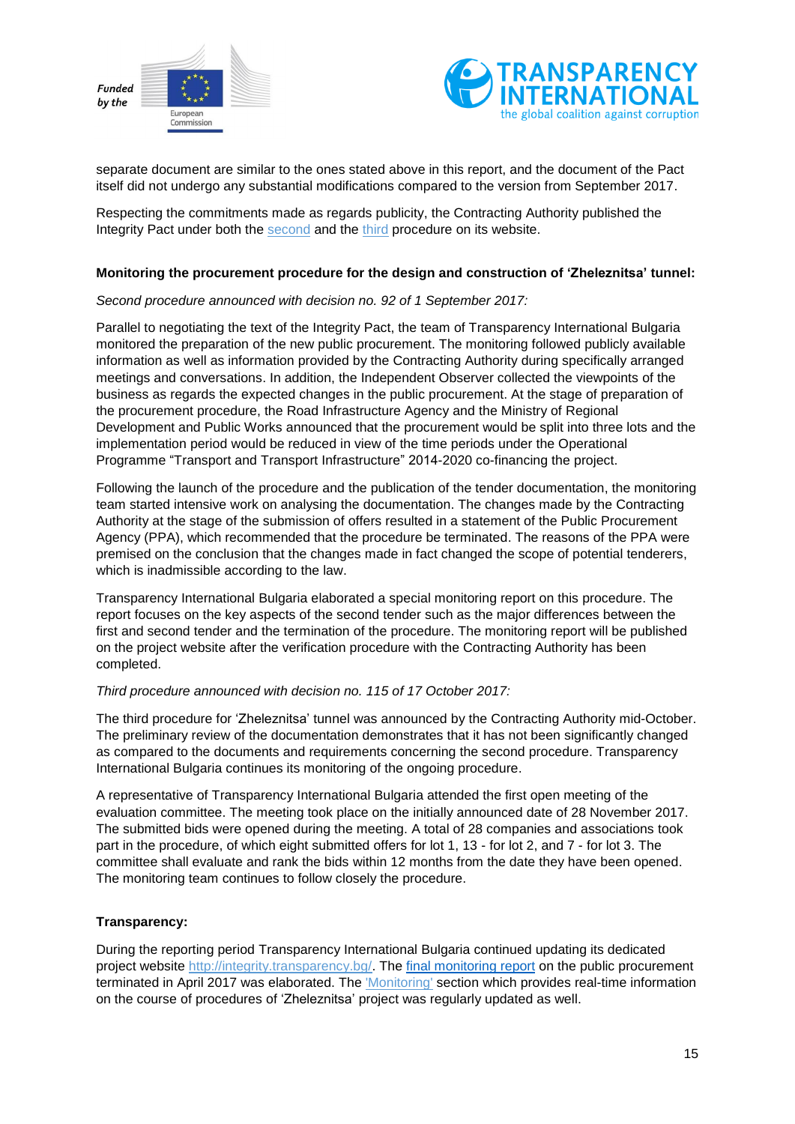



separate document are similar to the ones stated above in this report, and the document of the Pact itself did not undergo any substantial modifications compared to the version from September 2017.

Respecting the commitments made as regards publicity, the Contracting Authority published the Integrity Pact under both the [second](http://www.api.bg/PROXY/index2.php?/public/index.jsp?proc=942) and the [third](http://www.api.bg/PROXY/index2.php?/public/index.jsp?proc=972) procedure on its website.

#### **Monitoring the procurement procedure for the design and construction of 'Zheleznitsa' tunnel:**

#### *Second procedure announced with decision no. 92 of 1 September 2017:*

Parallel to negotiating the text of the Integrity Pact, the team of Transparency International Bulgaria monitored the preparation of the new public procurement. The monitoring followed publicly available information as well as information provided by the Contracting Authority during specifically arranged meetings and conversations. In addition, the Independent Observer collected the viewpoints of the business as regards the expected changes in the public procurement. At the stage of preparation of the procurement procedure, the Road Infrastructure Agency and the Ministry of Regional Development and Public Works announced that the procurement would be split into three lots and the implementation period would be reduced in view of the time periods under the Operational Programme "Transport and Transport Infrastructure" 2014-2020 co-financing the project.

Following the launch of the procedure and the publication of the tender documentation, the monitoring team started intensive work on analysing the documentation. The changes made by the Contracting Authority at the stage of the submission of offers resulted in a statement of the Public Procurement Agency (PPA), which recommended that the procedure be terminated. The reasons of the PPA were premised on the conclusion that the changes made in fact changed the scope of potential tenderers, which is inadmissible according to the law.

Transparency International Bulgaria elaborated a special monitoring report on this procedure. The report focuses on the key aspects of the second tender such as the major differences between the first and second tender and the termination of the procedure. The monitoring report will be published on the project website after the verification procedure with the Contracting Authority has been completed.

#### *Third procedure announced with decision no. 115 of 17 October 2017:*

The third procedure for 'Zheleznitsa' tunnel was announced by the Contracting Authority mid-October. The preliminary review of the documentation demonstrates that it has not been significantly changed as compared to the documents and requirements concerning the second procedure. Transparency International Bulgaria continues its monitoring of the ongoing procedure.

A representative of Transparency International Bulgaria attended the first open meeting of the evaluation committee. The meeting took place on the initially announced date of 28 November 2017. The submitted bids were opened during the meeting. A total of 28 companies and associations took part in the procedure, of which eight submitted offers for lot 1, 13 - for lot 2, and 7 - for lot 3. The committee shall evaluate and rank the bids within 12 months from the date they have been opened. The monitoring team continues to follow closely the procedure.

#### **Transparency:**

During the reporting period Transparency International Bulgaria continued updating its dedicated project website [http://integrity.transparency.bg/.](http://integrity.transparency.bg/) The final [monitoring](http://integrity.transparency.bg/wp-content/uploads/2018/01/1srTender_2ndReport_FIN_BG.pdf) report on the public procurement terminated in April 2017 was elaborated. The ['Monitoring'](http://integrity.transparency.bg/en/monitoring/) section which provides real-time information on the course of procedures of 'Zheleznitsa' project was regularly updated as well.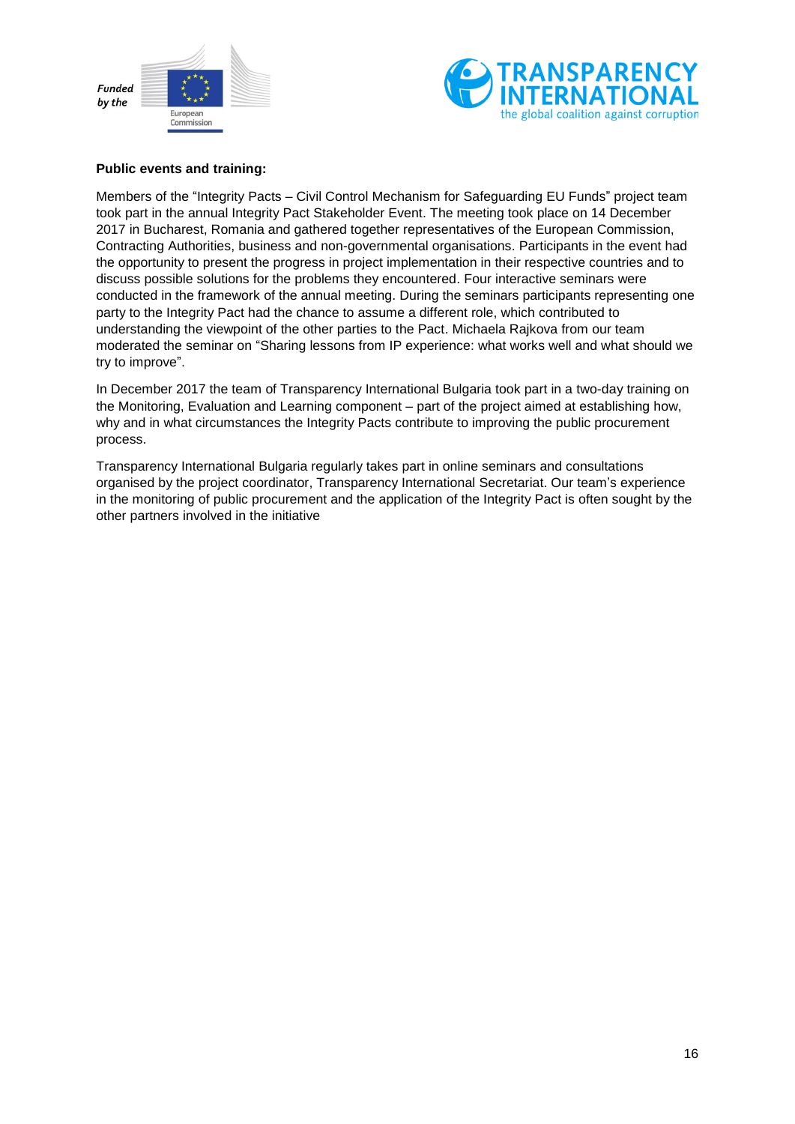



#### **Public events and training:**

Members of the "Integrity Pacts – Civil Control Mechanism for Safeguarding EU Funds" project team took part in the annual Integrity Pact Stakeholder Event. The meeting took place on 14 December 2017 in Bucharest, Romania and gathered together representatives of the European Commission, Contracting Authorities, business and non-governmental organisations. Participants in the event had the opportunity to present the progress in project implementation in their respective countries and to discuss possible solutions for the problems they encountered. Four interactive seminars were conducted in the framework of the annual meeting. During the seminars participants representing one party to the Integrity Pact had the chance to assume a different role, which contributed to understanding the viewpoint of the other parties to the Pact. Michaela Rajkova from our team moderated the seminar on "Sharing lessons from IP experience: what works well and what should we try to improve".

In December 2017 the team of Transparency International Bulgaria took part in a two-day training on the Monitoring, Evaluation and Learning component – part of the project aimed at establishing how, why and in what circumstances the Integrity Pacts contribute to improving the public procurement process.

Transparency International Bulgaria regularly takes part in online seminars and consultations organised by the project coordinator, Transparency International Secretariat. Our team's experience in the monitoring of public procurement and the application of the Integrity Pact is often sought by the other partners involved in the initiative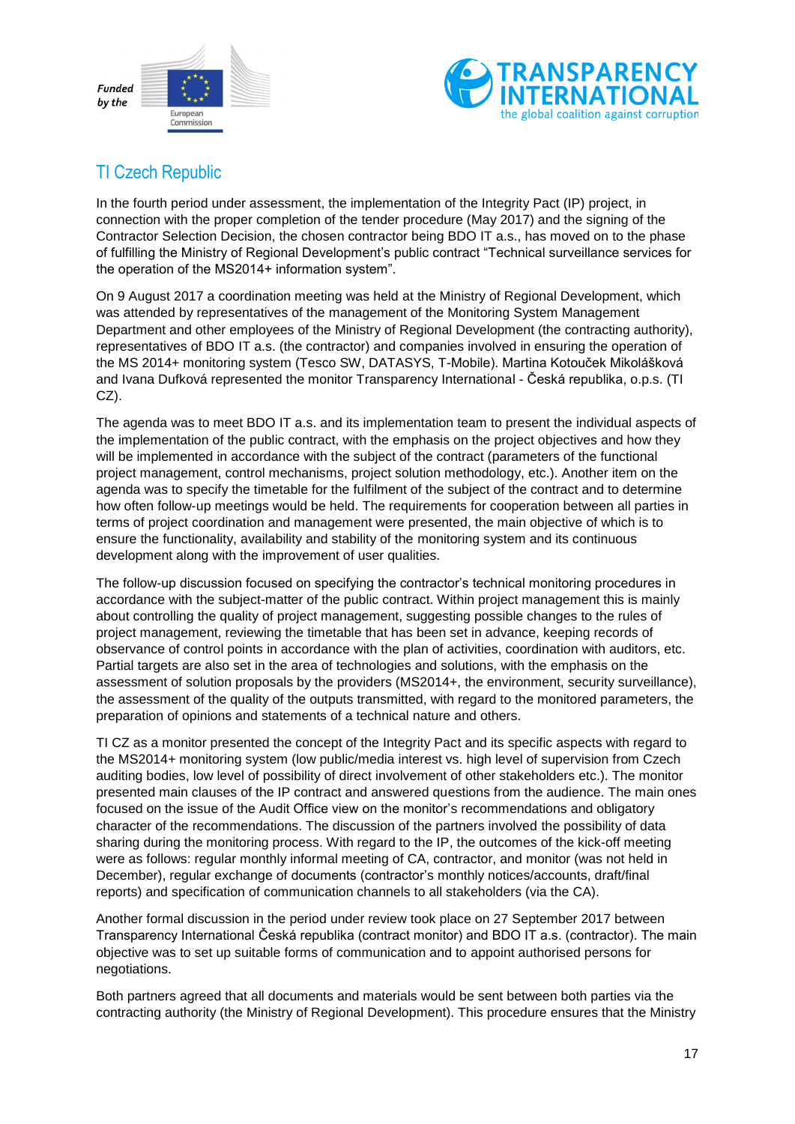



# <span id="page-16-0"></span>TI Czech Republic

In the fourth period under assessment, the implementation of the Integrity Pact (IP) project, in connection with the proper completion of the tender procedure (May 2017) and the signing of the Contractor Selection Decision, the chosen contractor being BDO IT a.s., has moved on to the phase of fulfilling the Ministry of Regional Development's public contract "Technical surveillance services for the operation of the MS2014+ information system".

On 9 August 2017 a coordination meeting was held at the Ministry of Regional Development, which was attended by representatives of the management of the Monitoring System Management Department and other employees of the Ministry of Regional Development (the contracting authority), representatives of BDO IT a.s. (the contractor) and companies involved in ensuring the operation of the MS 2014+ monitoring system (Tesco SW, DATASYS, T-Mobile). Martina Kotouček Mikolášková and Ivana Dufková represented the monitor Transparency International - Česká republika, o.p.s. (TI CZ).

The agenda was to meet BDO IT a.s. and its implementation team to present the individual aspects of the implementation of the public contract, with the emphasis on the project objectives and how they will be implemented in accordance with the subject of the contract (parameters of the functional project management, control mechanisms, project solution methodology, etc.). Another item on the agenda was to specify the timetable for the fulfilment of the subject of the contract and to determine how often follow-up meetings would be held. The requirements for cooperation between all parties in terms of project coordination and management were presented, the main objective of which is to ensure the functionality, availability and stability of the monitoring system and its continuous development along with the improvement of user qualities.

The follow-up discussion focused on specifying the contractor's technical monitoring procedures in accordance with the subject-matter of the public contract. Within project management this is mainly about controlling the quality of project management, suggesting possible changes to the rules of project management, reviewing the timetable that has been set in advance, keeping records of observance of control points in accordance with the plan of activities, coordination with auditors, etc. Partial targets are also set in the area of technologies and solutions, with the emphasis on the assessment of solution proposals by the providers (MS2014+, the environment, security surveillance), the assessment of the quality of the outputs transmitted, with regard to the monitored parameters, the preparation of opinions and statements of a technical nature and others.

TI CZ as a monitor presented the concept of the Integrity Pact and its specific aspects with regard to the MS2014+ monitoring system (low public/media interest vs. high level of supervision from Czech auditing bodies, low level of possibility of direct involvement of other stakeholders etc.). The monitor presented main clauses of the IP contract and answered questions from the audience. The main ones focused on the issue of the Audit Office view on the monitor's recommendations and obligatory character of the recommendations. The discussion of the partners involved the possibility of data sharing during the monitoring process. With regard to the IP, the outcomes of the kick-off meeting were as follows: regular monthly informal meeting of CA, contractor, and monitor (was not held in December), regular exchange of documents (contractor's monthly notices/accounts, draft/final reports) and specification of communication channels to all stakeholders (via the CA).

Another formal discussion in the period under review took place on 27 September 2017 between Transparency International Česká republika (contract monitor) and BDO IT a.s. (contractor). The main objective was to set up suitable forms of communication and to appoint authorised persons for negotiations.

Both partners agreed that all documents and materials would be sent between both parties via the contracting authority (the Ministry of Regional Development). This procedure ensures that the Ministry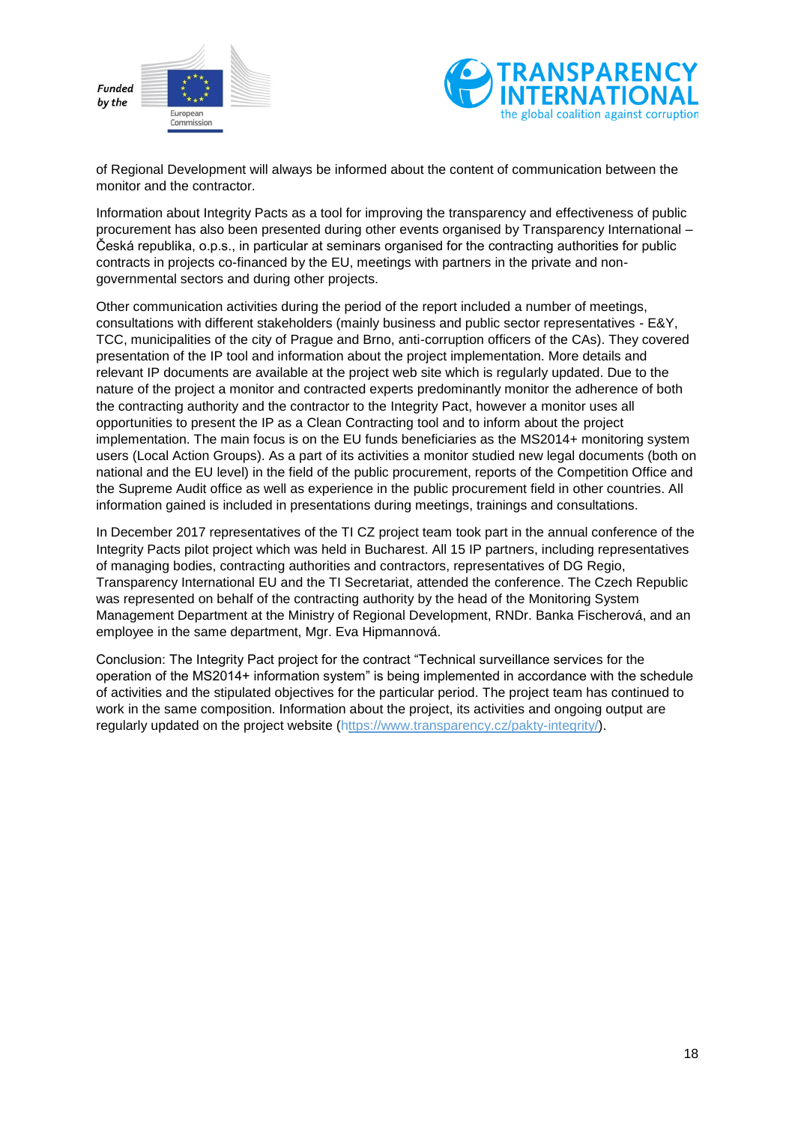



of Regional Development will always be informed about the content of communication between the monitor and the contractor.

Information about Integrity Pacts as a tool for improving the transparency and effectiveness of public procurement has also been presented during other events organised by Transparency International – Česká republika, o.p.s., in particular at seminars organised for the contracting authorities for public contracts in projects co-financed by the EU, meetings with partners in the private and nongovernmental sectors and during other projects.

Other communication activities during the period of the report included a number of meetings, consultations with different stakeholders (mainly business and public sector representatives - E&Y, TCC, municipalities of the city of Prague and Brno, anti-corruption officers of the CAs). They covered presentation of the IP tool and information about the project implementation. More details and relevant IP documents are available at the project web site which is regularly updated. Due to the nature of the project a monitor and contracted experts predominantly monitor the adherence of both the contracting authority and the contractor to the Integrity Pact, however a monitor uses all opportunities to present the IP as a Clean Contracting tool and to inform about the project implementation. The main focus is on the EU funds beneficiaries as the MS2014+ monitoring system users (Local Action Groups). As a part of its activities a monitor studied new legal documents (both on national and the EU level) in the field of the public procurement, reports of the Competition Office and the Supreme Audit office as well as experience in the public procurement field in other countries. All information gained is included in presentations during meetings, trainings and consultations.

In December 2017 representatives of the TI CZ project team took part in the annual conference of the Integrity Pacts pilot project which was held in Bucharest. All 15 IP partners, including representatives of managing bodies, contracting authorities and contractors, representatives of DG Regio, Transparency International EU and the TI Secretariat, attended the conference. The Czech Republic was represented on behalf of the contracting authority by the head of the Monitoring System Management Department at the Ministry of Regional Development, RNDr. Banka Fischerová, and an employee in the same department, Mgr. Eva Hipmannová.

Conclusion: The Integrity Pact project for the contract "Technical surveillance services for the operation of the MS2014+ information system" is being implemented in accordance with the schedule of activities and the stipulated objectives for the particular period. The project team has continued to work in the same composition. Information about the project, its activities and ongoing output are regularly updated on the project website (https://www.transparency.cz/pakty-integrity/).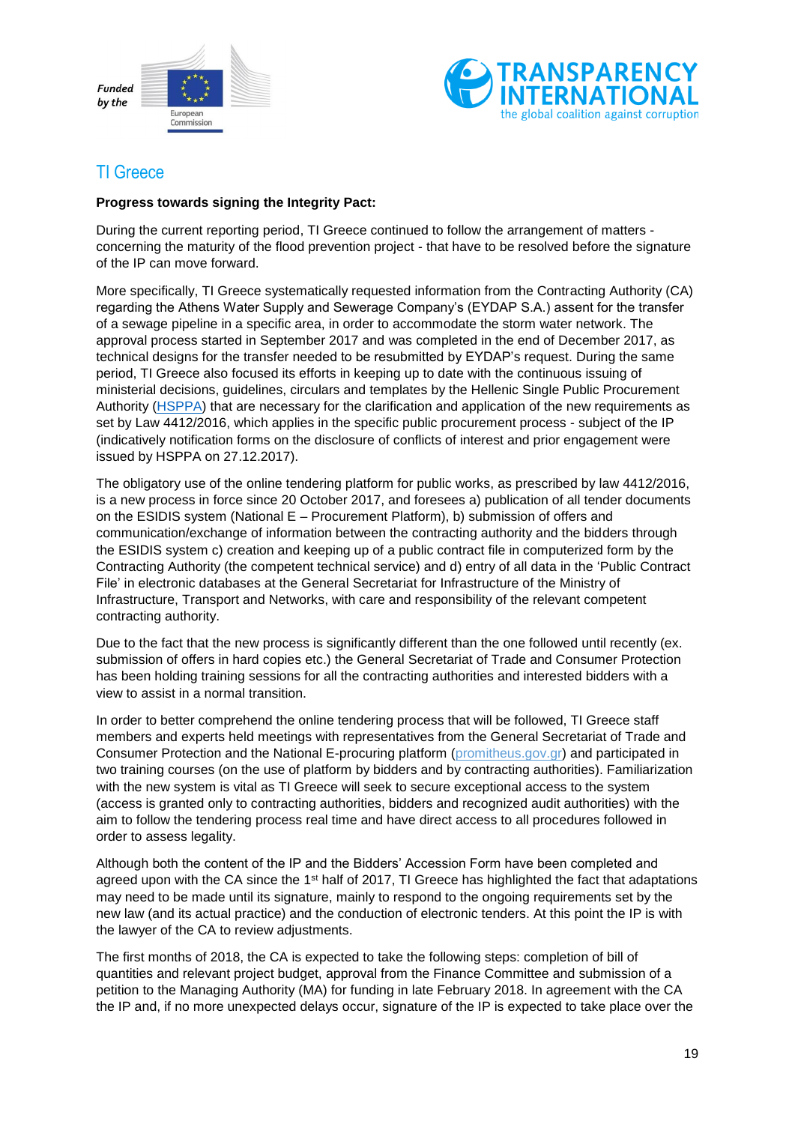



# <span id="page-18-0"></span>TI Greece

#### **Progress towards signing the Integrity Pact:**

During the current reporting period, TI Greece continued to follow the arrangement of matters concerning the maturity of the flood prevention project - that have to be resolved before the signature of the IP can move forward.

More specifically, TI Greece systematically requested information from the Contracting Authority (CA) regarding the Athens Water Supply and Sewerage Company's (EYDAP S.A.) assent for the transfer of a sewage pipeline in a specific area, in order to accommodate the storm water network. The approval process started in September 2017 and was completed in the end of December 2017, as technical designs for the transfer needed to be resubmitted by EYDAP's request. During the same period, TI Greece also focused its efforts in keeping up to date with the continuous issuing of ministerial decisions, guidelines, circulars and templates by the Hellenic Single Public Procurement Authority [\(HSPPA\)](http://www.eaadhsy.gr/) that are necessary for the clarification and application of the new requirements as set by Law 4412/2016, which applies in the specific public procurement process - subject of the IP (indicatively notification forms on the disclosure of conflicts of interest and prior engagement were issued by HSPPA on 27.12.2017).

The obligatory use of the online tendering platform for public works, as prescribed by law 4412/2016, is a new process in force since 20 October 2017, and foresees a) publication of all tender documents on the ESIDIS system (National E – Procurement Platform), b) submission of offers and communication/exchange of information between the contracting authority and the bidders through the ESIDIS system c) creation and keeping up of a public contract file in computerized form by the Contracting Authority (the competent technical service) and d) entry of all data in the 'Public Contract File' in electronic databases at the General Secretariat for Infrastructure of the Ministry of Infrastructure, Transport and Networks, with care and responsibility of the relevant competent contracting authority.

Due to the fact that the new process is significantly different than the one followed until recently (ex. submission of offers in hard copies etc.) the General Secretariat of Trade and Consumer Protection has been holding training sessions for all the contracting authorities and interested bidders with a view to assist in a normal transition.

In order to better comprehend the online tendering process that will be followed, TI Greece staff members and experts held meetings with representatives from the General Secretariat of Trade and Consumer Protection and the National E-procuring platform (promitheus.gov.gr) and participated in two training courses (on the use of platform by bidders and by contracting authorities). Familiarization with the new system is vital as TI Greece will seek to secure exceptional access to the system (access is granted only to contracting authorities, bidders and recognized audit authorities) with the aim to follow the tendering process real time and have direct access to all procedures followed in order to assess legality.

Although both the content of the IP and the Bidders' Accession Form have been completed and agreed upon with the CA since the  $1<sup>st</sup>$  half of 2017, TI Greece has highlighted the fact that adaptations may need to be made until its signature, mainly to respond to the ongoing requirements set by the new law (and its actual practice) and the conduction of electronic tenders. At this point the IP is with the lawyer of the CA to review adjustments.

The first months of 2018, the CA is expected to take the following steps: completion of bill of quantities and relevant project budget, approval from the Finance Committee and submission of a petition to the Managing Authority (MA) for funding in late February 2018. In agreement with the CA the IP and, if no more unexpected delays occur, signature of the IP is expected to take place over the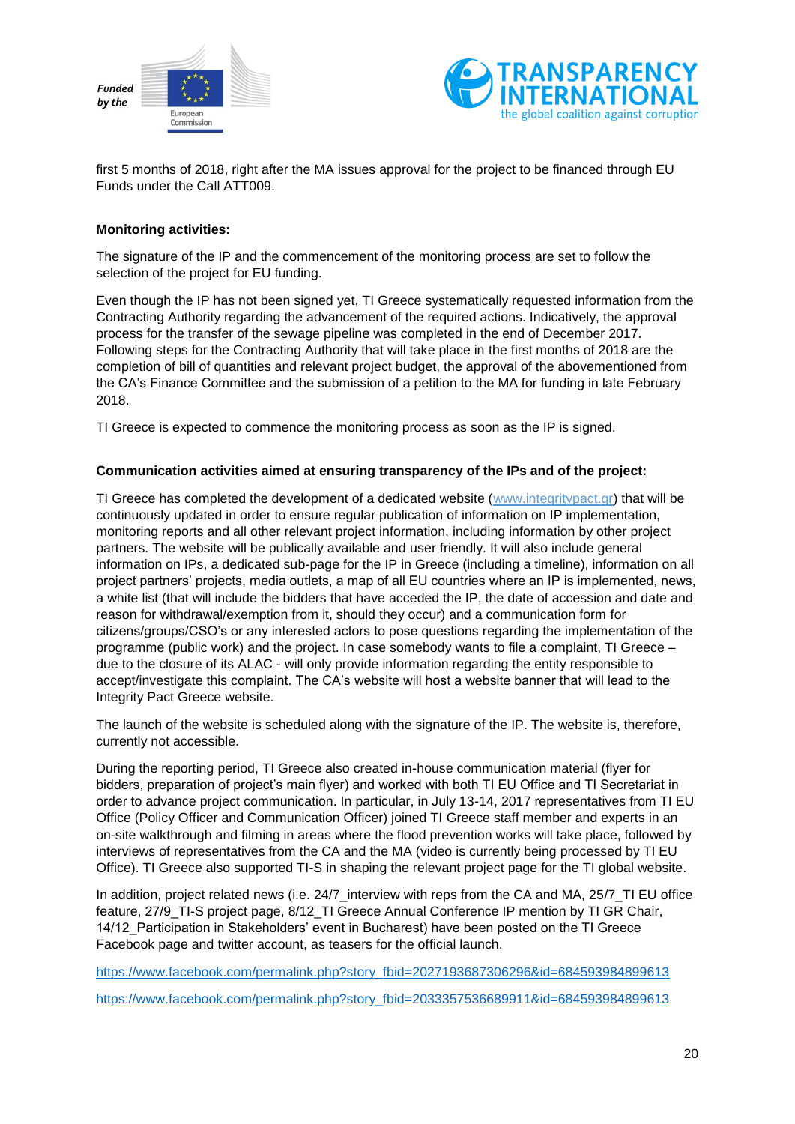



first 5 months of 2018, right after the MA issues approval for the project to be financed through EU Funds under the Call ATT009.

#### **Monitoring activities:**

The signature of the IP and the commencement of the monitoring process are set to follow the selection of the project for EU funding.

Even though the IP has not been signed yet, TI Greece systematically requested information from the Contracting Authority regarding the advancement of the required actions. Indicatively, the approval process for the transfer of the sewage pipeline was completed in the end of December 2017. Following steps for the Contracting Authority that will take place in the first months of 2018 are the completion of bill of quantities and relevant project budget, the approval of the abovementioned from the CA's Finance Committee and the submission of a petition to the MA for funding in late February 2018.

TI Greece is expected to commence the monitoring process as soon as the IP is signed.

#### **Communication activities aimed at ensuring transparency of the IPs and of the project:**

TI Greece has completed the development of a dedicated website (www.integritypact.gr) that will be continuously updated in order to ensure regular publication of information on IP implementation, monitoring reports and all other relevant project information, including information by other project partners. The website will be publically available and user friendly. It will also include general information on IPs, a dedicated sub-page for the IP in Greece (including a timeline), information on all project partners' projects, media outlets, a map of all EU countries where an IP is implemented, news, a white list (that will include the bidders that have acceded the IP, the date of accession and date and reason for withdrawal/exemption from it, should they occur) and a communication form for citizens/groups/CSO's or any interested actors to pose questions regarding the implementation of the programme (public work) and the project. In case somebody wants to file a complaint, TI Greece – due to the closure of its ALAC - will only provide information regarding the entity responsible to accept/investigate this complaint. The CA's website will host a website banner that will lead to the Integrity Pact Greece website.

The launch of the website is scheduled along with the signature of the IP. The website is, therefore, currently not accessible.

During the reporting period, TI Greece also created in-house communication material (flyer for bidders, preparation of project's main flyer) and worked with both TI EU Office and TI Secretariat in order to advance project communication. In particular, in July 13-14, 2017 representatives from TI EU Office (Policy Officer and Communication Officer) joined TI Greece staff member and experts in an on-site walkthrough and filming in areas where the flood prevention works will take place, followed by interviews of representatives from the CA and the MA (video is currently being processed by TI EU Office). TI Greece also supported TI-S in shaping the relevant project page for the TI global website.

In addition, project related news (i.e. 24/7 interview with reps from the CA and MA, 25/7 TI EU office feature, 27/9 TI-S project page, 8/12 TI Greece Annual Conference IP mention by TI GR Chair, 14/12\_Participation in Stakeholders' event in Bucharest) have been posted on the TI Greece Facebook page and twitter account, as teasers for the official launch.

[https://www.facebook.com/permalink.php?story\\_fbid=2027193687306296&id=684593984899613](https://www.facebook.com/permalink.php?story_fbid=2027193687306296&id=684593984899613)

[https://www.facebook.com/permalink.php?story\\_fbid=2033357536689911&id=684593984899613](https://www.facebook.com/permalink.php?story_fbid=2033357536689911&id=684593984899613)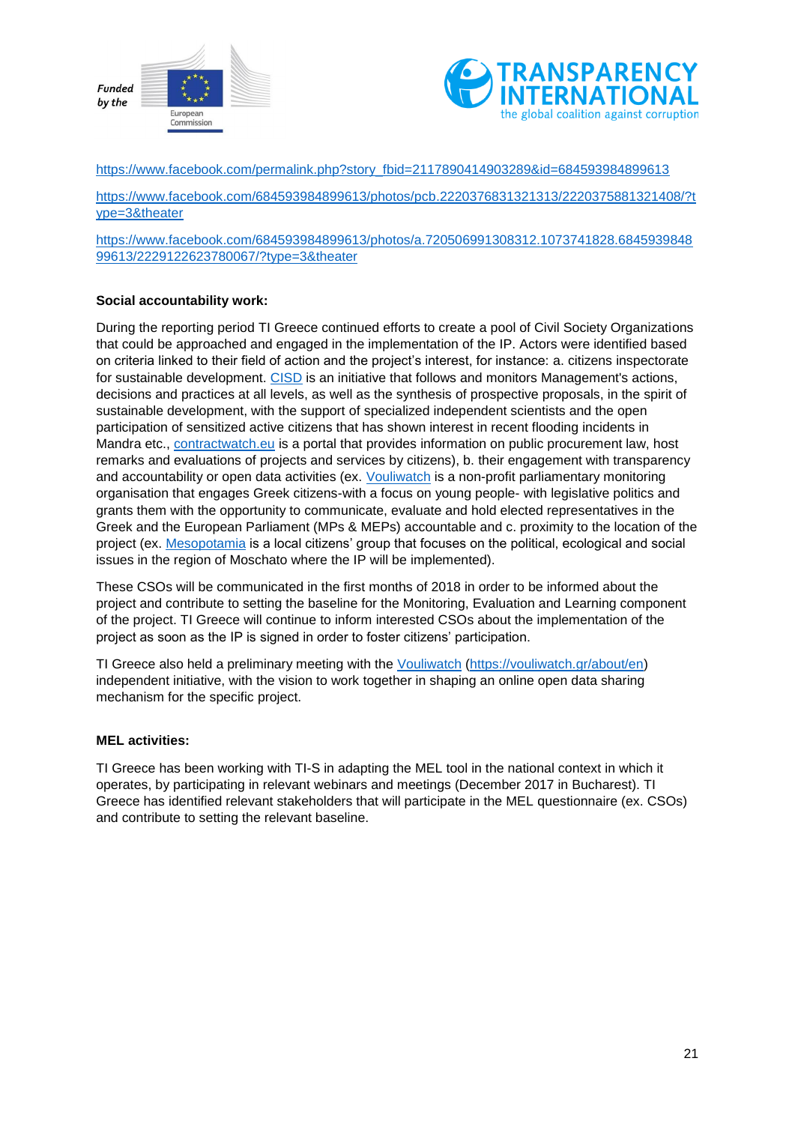



[https://www.facebook.com/permalink.php?story\\_fbid=2117890414903289&id=684593984899613](https://www.facebook.com/permalink.php?story_fbid=2117890414903289&id=684593984899613)

[https://www.facebook.com/684593984899613/photos/pcb.2220376831321313/2220375881321408/?t](https://www.facebook.com/684593984899613/photos/pcb.2220376831321313/2220375881321408/?type=3&theater) [ype=3&theater](https://www.facebook.com/684593984899613/photos/pcb.2220376831321313/2220375881321408/?type=3&theater)

[https://www.facebook.com/684593984899613/photos/a.720506991308312.1073741828.6845939848](https://www.facebook.com/684593984899613/photos/a.720506991308312.1073741828.684593984899613/2229122623780067/?type=3&theater) [99613/2229122623780067/?type=3&theater](https://www.facebook.com/684593984899613/photos/a.720506991308312.1073741828.684593984899613/2229122623780067/?type=3&theater)

#### **Social accountability work:**

During the reporting period TI Greece continued efforts to create a pool of Civil Society Organizations that could be approached and engaged in the implementation of the IP. Actors were identified based on criteria linked to their field of action and the project's interest, for instance: a. citizens inspectorate for sustainable development. [CISD](https://www.facebook.com/cisd.gr/) is an initiative that follows and monitors Management's actions, decisions and practices at all levels, as well as the synthesis of prospective proposals, in the spirit of sustainable development, with the support of specialized independent scientists and the open participation of sensitized active citizens that has shown interest in recent flooding incidents in Mandra etc., [contractwatch.eu](http://www.contractwatch.eu/index.php) is a portal that provides information on public procurement law, host remarks and evaluations of projects and services by citizens), b. their engagement with transparency and accountability or open data activities (ex. [Vouliwatch](https://vouliwatch.gr/about/en) is a non-profit parliamentary monitoring organisation that engages Greek citizens-with a focus on young people- with legislative politics and grants them with the opportunity to communicate, evaluate and hold elected representatives in the Greek and the European Parliament (MPs & MEPs) accountable and c. proximity to the location of the project (ex. [Mesopotamia](http://www.mesopotamia.gr/el/about/) is a local citizens' group that focuses on the political, ecological and social issues in the region of Moschato where the IP will be implemented).

These CSOs will be communicated in the first months of 2018 in order to be informed about the project and contribute to setting the baseline for the Monitoring, Evaluation and Learning component of the project. TI Greece will continue to inform interested CSOs about the implementation of the project as soon as the IP is signed in order to foster citizens' participation.

TI Greece also held a preliminary meeting with the [Vouliwatch](https://vouliwatch.gr/) [\(https://vouliwatch.gr/about/en\)](https://vouliwatch.gr/about/en) independent initiative, with the vision to work together in shaping an online open data sharing mechanism for the specific project.

#### **MEL activities:**

TI Greece has been working with TI-S in adapting the MEL tool in the national context in which it operates, by participating in relevant webinars and meetings (December 2017 in Bucharest). TI Greece has identified relevant stakeholders that will participate in the MEL questionnaire (ex. CSOs) and contribute to setting the relevant baseline.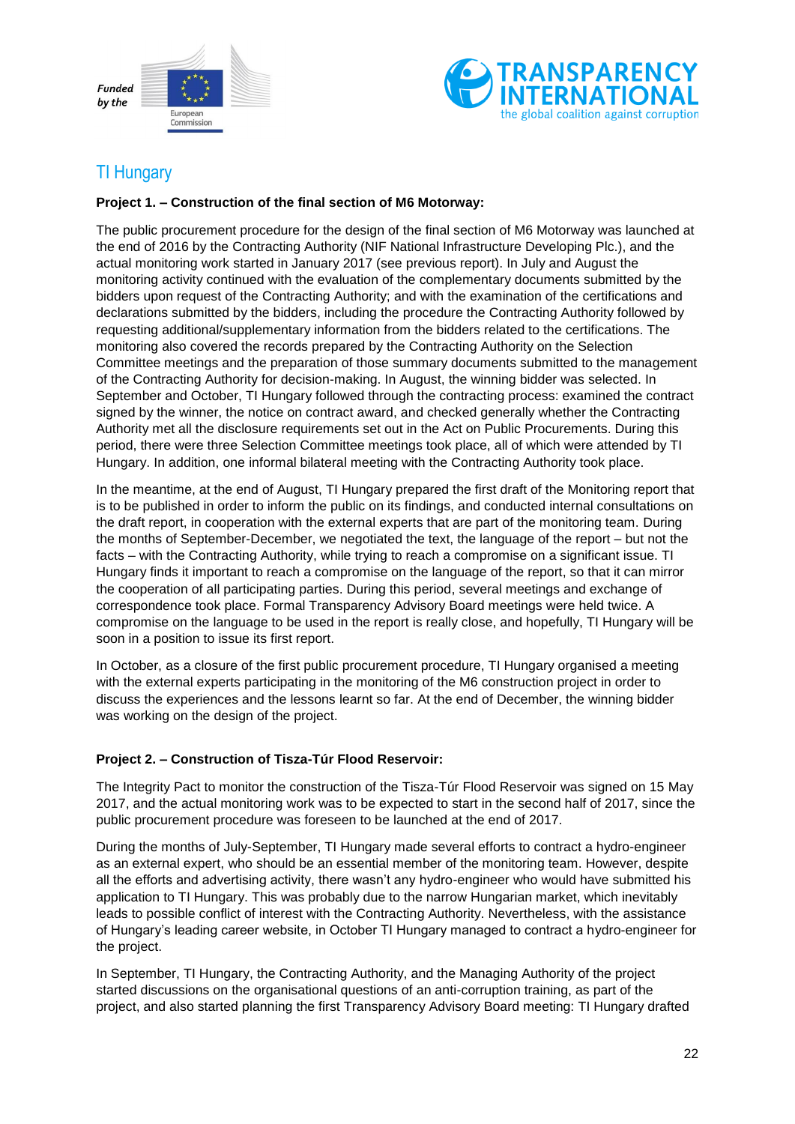



# <span id="page-21-0"></span>TI Hungary

#### **Project 1. – Construction of the final section of M6 Motorway:**

The public procurement procedure for the design of the final section of M6 Motorway was launched at the end of 2016 by the Contracting Authority (NIF National Infrastructure Developing Plc.), and the actual monitoring work started in January 2017 (see previous report). In July and August the monitoring activity continued with the evaluation of the complementary documents submitted by the bidders upon request of the Contracting Authority; and with the examination of the certifications and declarations submitted by the bidders, including the procedure the Contracting Authority followed by requesting additional/supplementary information from the bidders related to the certifications. The monitoring also covered the records prepared by the Contracting Authority on the Selection Committee meetings and the preparation of those summary documents submitted to the management of the Contracting Authority for decision-making. In August, the winning bidder was selected. In September and October, TI Hungary followed through the contracting process: examined the contract signed by the winner, the notice on contract award, and checked generally whether the Contracting Authority met all the disclosure requirements set out in the Act on Public Procurements. During this period, there were three Selection Committee meetings took place, all of which were attended by TI Hungary. In addition, one informal bilateral meeting with the Contracting Authority took place.

In the meantime, at the end of August, TI Hungary prepared the first draft of the Monitoring report that is to be published in order to inform the public on its findings, and conducted internal consultations on the draft report, in cooperation with the external experts that are part of the monitoring team. During the months of September-December, we negotiated the text, the language of the report – but not the facts – with the Contracting Authority, while trying to reach a compromise on a significant issue. TI Hungary finds it important to reach a compromise on the language of the report, so that it can mirror the cooperation of all participating parties. During this period, several meetings and exchange of correspondence took place. Formal Transparency Advisory Board meetings were held twice. A compromise on the language to be used in the report is really close, and hopefully, TI Hungary will be soon in a position to issue its first report.

In October, as a closure of the first public procurement procedure, TI Hungary organised a meeting with the external experts participating in the monitoring of the M6 construction project in order to discuss the experiences and the lessons learnt so far. At the end of December, the winning bidder was working on the design of the project.

#### **Project 2. – Construction of Tisza-Túr Flood Reservoir:**

The Integrity Pact to monitor the construction of the Tisza-Túr Flood Reservoir was signed on 15 May 2017, and the actual monitoring work was to be expected to start in the second half of 2017, since the public procurement procedure was foreseen to be launched at the end of 2017.

During the months of July-September, TI Hungary made several efforts to contract a hydro-engineer as an external expert, who should be an essential member of the monitoring team. However, despite all the efforts and advertising activity, there wasn't any hydro-engineer who would have submitted his application to TI Hungary. This was probably due to the narrow Hungarian market, which inevitably leads to possible conflict of interest with the Contracting Authority. Nevertheless, with the assistance of Hungary's leading career website, in October TI Hungary managed to contract a hydro-engineer for the project.

In September, TI Hungary, the Contracting Authority, and the Managing Authority of the project started discussions on the organisational questions of an anti-corruption training, as part of the project, and also started planning the first Transparency Advisory Board meeting: TI Hungary drafted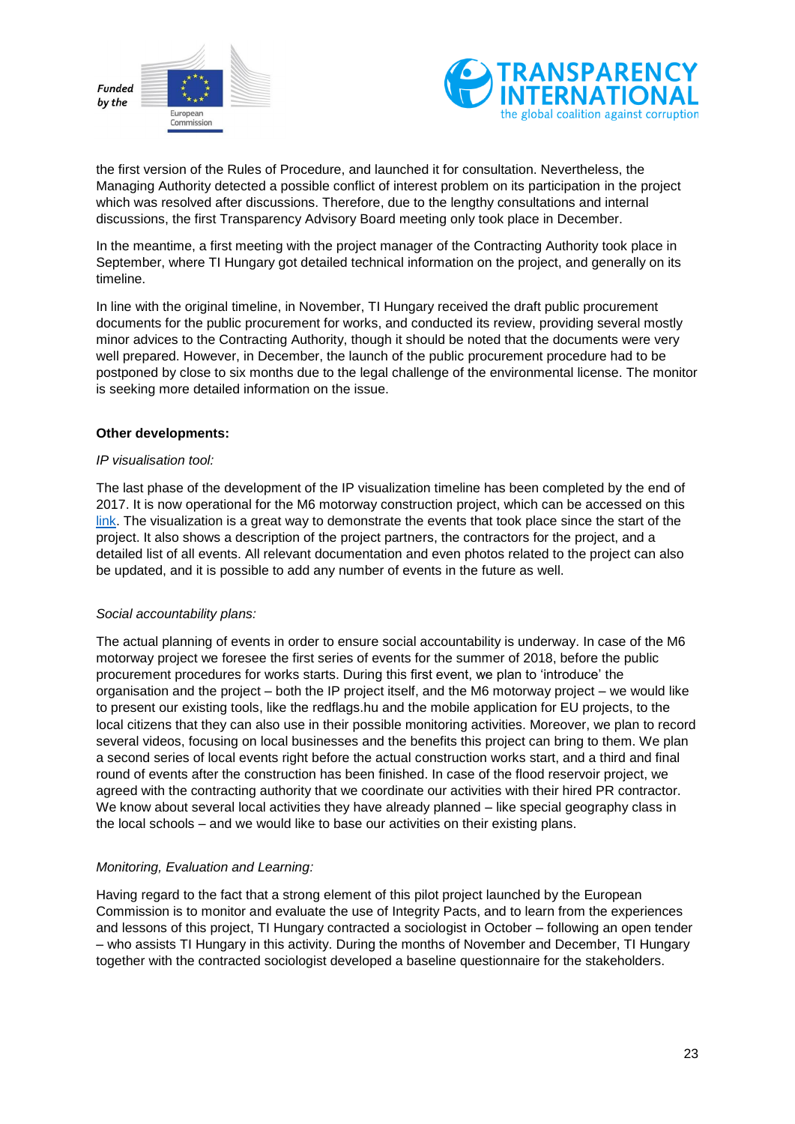



the first version of the Rules of Procedure, and launched it for consultation. Nevertheless, the Managing Authority detected a possible conflict of interest problem on its participation in the project which was resolved after discussions. Therefore, due to the lengthy consultations and internal discussions, the first Transparency Advisory Board meeting only took place in December.

In the meantime, a first meeting with the project manager of the Contracting Authority took place in September, where TI Hungary got detailed technical information on the project, and generally on its timeline.

In line with the original timeline, in November, TI Hungary received the draft public procurement documents for the public procurement for works, and conducted its review, providing several mostly minor advices to the Contracting Authority, though it should be noted that the documents were very well prepared. However, in December, the launch of the public procurement procedure had to be postponed by close to six months due to the legal challenge of the environmental license. The monitor is seeking more detailed information on the issue.

#### **Other developments:**

#### *IP visualisation tool:*

The last phase of the development of the IP visualization timeline has been completed by the end of 2017. It is now operational for the M6 motorway construction project, which can be accessed on this [link.](https://transparency.hu/kozszektor/kozbeszerzes/integritasi-megallapodas/eu-s-finanszirozasu-projektek/m6-os-autopalya-epitese/m6-autopalya-beruhazas-idovonala/) The visualization is a great way to demonstrate the events that took place since the start of the project. It also shows a description of the project partners, the contractors for the project, and a detailed list of all events. All relevant documentation and even photos related to the project can also be updated, and it is possible to add any number of events in the future as well.

#### *Social accountability plans:*

The actual planning of events in order to ensure social accountability is underway. In case of the M6 motorway project we foresee the first series of events for the summer of 2018, before the public procurement procedures for works starts. During this first event, we plan to 'introduce' the organisation and the project – both the IP project itself, and the M6 motorway project – we would like to present our existing tools, like the redflags.hu and the mobile application for EU projects, to the local citizens that they can also use in their possible monitoring activities. Moreover, we plan to record several videos, focusing on local businesses and the benefits this project can bring to them. We plan a second series of local events right before the actual construction works start, and a third and final round of events after the construction has been finished. In case of the flood reservoir project, we agreed with the contracting authority that we coordinate our activities with their hired PR contractor. We know about several local activities they have already planned – like special geography class in the local schools – and we would like to base our activities on their existing plans.

#### *Monitoring, Evaluation and Learning:*

Having regard to the fact that a strong element of this pilot project launched by the European Commission is to monitor and evaluate the use of Integrity Pacts, and to learn from the experiences and lessons of this project, TI Hungary contracted a sociologist in October – following an open tender – who assists TI Hungary in this activity. During the months of November and December, TI Hungary together with the contracted sociologist developed a baseline questionnaire for the stakeholders.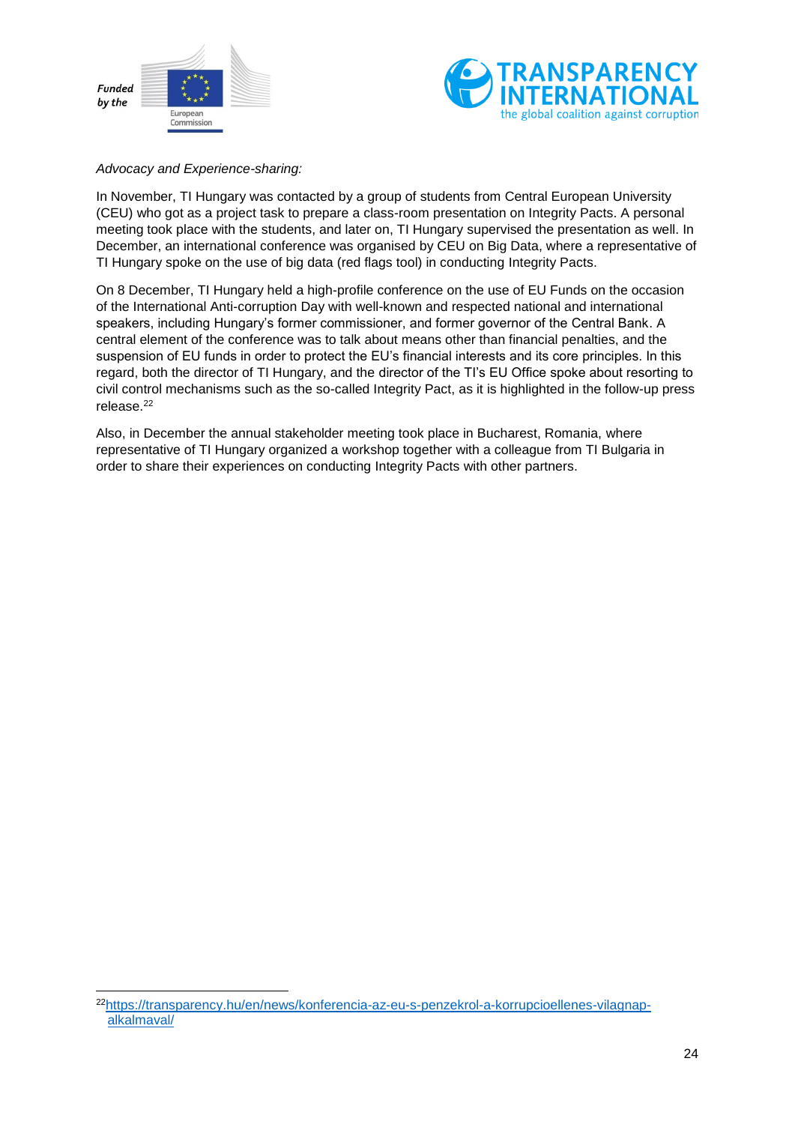

-



#### *Advocacy and Experience-sharing:*

In November, TI Hungary was contacted by a group of students from Central European University (CEU) who got as a project task to prepare a class-room presentation on Integrity Pacts. A personal meeting took place with the students, and later on, TI Hungary supervised the presentation as well. In December, an international conference was organised by CEU on Big Data, where a representative of TI Hungary spoke on the use of big data (red flags tool) in conducting Integrity Pacts.

On 8 December, TI Hungary held a high-profile conference on the use of EU Funds on the occasion of the International Anti-corruption Day with well-known and respected national and international speakers, including Hungary's former commissioner, and former governor of the Central Bank. A central element of the conference was to talk about means other than financial penalties, and the suspension of EU funds in order to protect the EU's financial interests and its core principles. In this regard, both the director of TI Hungary, and the director of the TI's EU Office spoke about resorting to civil control mechanisms such as the so-called Integrity Pact, as it is highlighted in the follow-up press release.<sup>22</sup>

Also, in December the annual stakeholder meeting took place in Bucharest, Romania, where representative of TI Hungary organized a workshop together with a colleague from TI Bulgaria in order to share their experiences on conducting Integrity Pacts with other partners.

<sup>22</sup>[https://transparency.hu/en/news/konferencia-az-eu-s-penzekrol-a-korrupcioellenes-vilagnap](https://transparency.hu/en/news/konferencia-az-eu-s-penzekrol-a-korrupcioellenes-vilagnap-alkalmaval/)[alkalmaval/](https://transparency.hu/en/news/konferencia-az-eu-s-penzekrol-a-korrupcioellenes-vilagnap-alkalmaval/)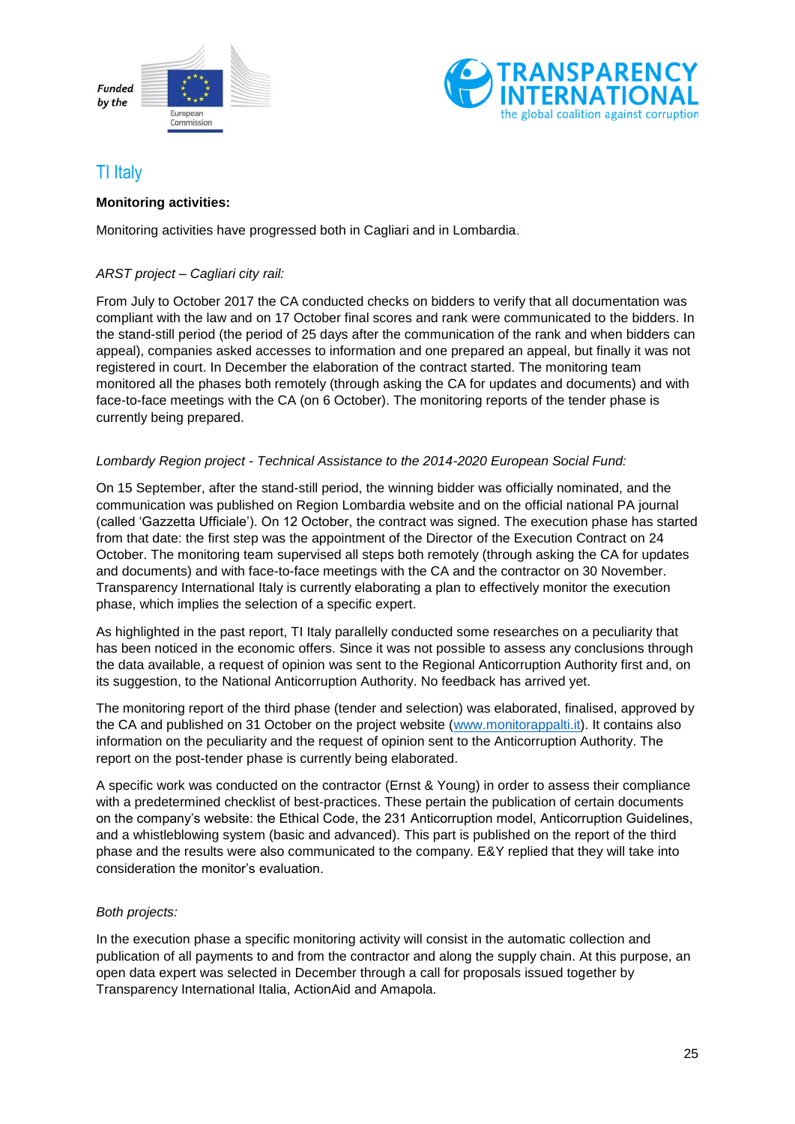



# <span id="page-24-0"></span>TI Italy

#### **Monitoring activities:**

Monitoring activities have progressed both in Cagliari and in Lombardia.

#### *ARST project – Cagliari city rail:*

From July to October 2017 the CA conducted checks on bidders to verify that all documentation was compliant with the law and on 17 October final scores and rank were communicated to the bidders. In the stand-still period (the period of 25 days after the communication of the rank and when bidders can appeal), companies asked accesses to information and one prepared an appeal, but finally it was not registered in court. In December the elaboration of the contract started. The monitoring team monitored all the phases both remotely (through asking the CA for updates and documents) and with face-to-face meetings with the CA (on 6 October). The monitoring reports of the tender phase is currently being prepared.

#### *Lombardy Region project - Technical Assistance to the 2014-2020 European Social Fund:*

On 15 September, after the stand-still period, the winning bidder was officially nominated, and the communication was published on Region Lombardia website and on the official national PA journal (called 'Gazzetta Ufficiale'). On 12 October, the contract was signed. The execution phase has started from that date: the first step was the appointment of the Director of the Execution Contract on 24 October. The monitoring team supervised all steps both remotely (through asking the CA for updates and documents) and with face-to-face meetings with the CA and the contractor on 30 November. Transparency International Italy is currently elaborating a plan to effectively monitor the execution phase, which implies the selection of a specific expert.

As highlighted in the past report, TI Italy parallelly conducted some researches on a peculiarity that has been noticed in the economic offers. Since it was not possible to assess any conclusions through the data available, a request of opinion was sent to the Regional Anticorruption Authority first and, on its suggestion, to the National Anticorruption Authority. No feedback has arrived yet.

The monitoring report of the third phase (tender and selection) was elaborated, finalised, approved by the CA and published on 31 October on the project website [\(www.monitorappalti.it\)](http://www.monitorappalti.it/). It contains also information on the peculiarity and the request of opinion sent to the Anticorruption Authority. The report on the post-tender phase is currently being elaborated.

A specific work was conducted on the contractor (Ernst & Young) in order to assess their compliance with a predetermined checklist of best-practices. These pertain the publication of certain documents on the company's website: the Ethical Code, the 231 Anticorruption model, Anticorruption Guidelines, and a whistleblowing system (basic and advanced). This part is published on the report of the third phase and the results were also communicated to the company. E&Y replied that they will take into consideration the monitor's evaluation.

#### *Both projects:*

In the execution phase a specific monitoring activity will consist in the automatic collection and publication of all payments to and from the contractor and along the supply chain. At this purpose, an open data expert was selected in December through a call for proposals issued together by Transparency International Italia, ActionAid and Amapola.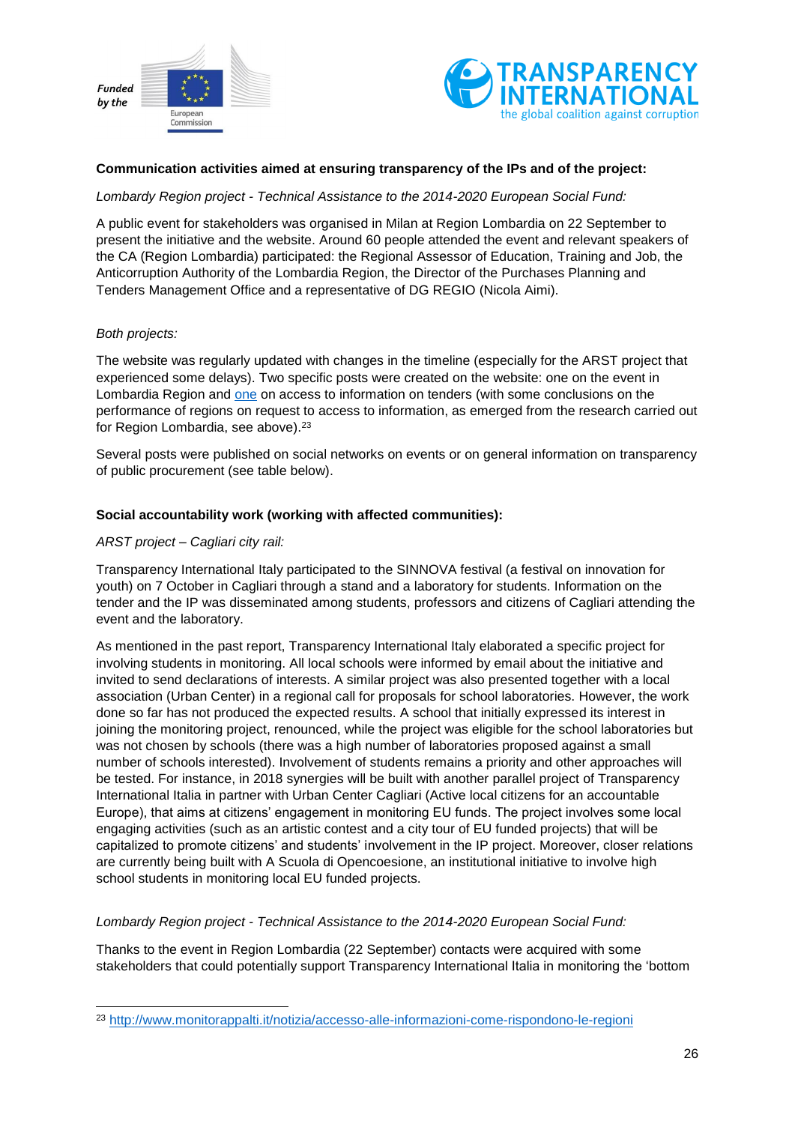



#### **Communication activities aimed at ensuring transparency of the IPs and of the project:**

*Lombardy Region project - Technical Assistance to the 2014-2020 European Social Fund:*

A public event for stakeholders was organised in Milan at Region Lombardia on 22 September to present the initiative and the website. Around 60 people attended the event and relevant speakers of the CA (Region Lombardia) participated: the Regional Assessor of Education, Training and Job, the Anticorruption Authority of the Lombardia Region, the Director of the Purchases Planning and Tenders Management Office and a representative of DG REGIO (Nicola Aimi).

#### *Both projects:*

1

The website was regularly updated with changes in the timeline (especially for the ARST project that experienced some delays). Two specific posts were created on the website: one on the event in Lombardia Region and [one](http://www.monitorappalti.it/notizia/accesso-alle-informazioni-come-rispondono-le-regioni) on access to information on tenders (with some conclusions on the performance of regions on request to access to information, as emerged from the research carried out for Region Lombardia, see above).<sup>23</sup>

Several posts were published on social networks on events or on general information on transparency of public procurement (see table below).

#### **Social accountability work (working with affected communities):**

#### *ARST project – Cagliari city rail:*

Transparency International Italy participated to the SINNOVA festival (a festival on innovation for youth) on 7 October in Cagliari through a stand and a laboratory for students. Information on the tender and the IP was disseminated among students, professors and citizens of Cagliari attending the event and the laboratory.

As mentioned in the past report, Transparency International Italy elaborated a specific project for involving students in monitoring. All local schools were informed by email about the initiative and invited to send declarations of interests. A similar project was also presented together with a local association (Urban Center) in a regional call for proposals for school laboratories. However, the work done so far has not produced the expected results. A school that initially expressed its interest in joining the monitoring project, renounced, while the project was eligible for the school laboratories but was not chosen by schools (there was a high number of laboratories proposed against a small number of schools interested). Involvement of students remains a priority and other approaches will be tested. For instance, in 2018 synergies will be built with another parallel project of Transparency International Italia in partner with Urban Center Cagliari (Active local citizens for an accountable Europe), that aims at citizens' engagement in monitoring EU funds. The project involves some local engaging activities (such as an artistic contest and a city tour of EU funded projects) that will be capitalized to promote citizens' and students' involvement in the IP project. Moreover, closer relations are currently being built with A Scuola di Opencoesione, an institutional initiative to involve high school students in monitoring local EU funded projects.

#### *Lombardy Region project - Technical Assistance to the 2014-2020 European Social Fund:*

Thanks to the event in Region Lombardia (22 September) contacts were acquired with some stakeholders that could potentially support Transparency International Italia in monitoring the 'bottom

<sup>23</sup> <http://www.monitorappalti.it/notizia/accesso-alle-informazioni-come-rispondono-le-regioni>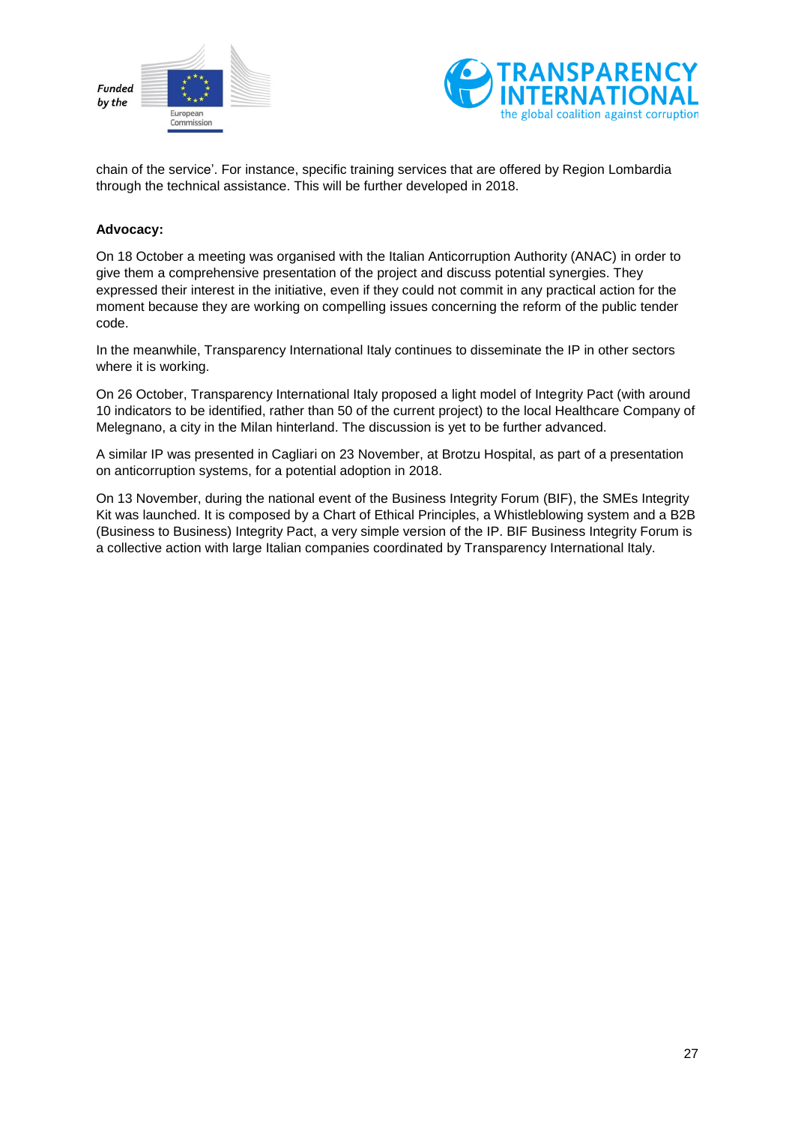



chain of the service'. For instance, specific training services that are offered by Region Lombardia through the technical assistance. This will be further developed in 2018.

#### **Advocacy:**

On 18 October a meeting was organised with the Italian Anticorruption Authority (ANAC) in order to give them a comprehensive presentation of the project and discuss potential synergies. They expressed their interest in the initiative, even if they could not commit in any practical action for the moment because they are working on compelling issues concerning the reform of the public tender code.

In the meanwhile, Transparency International Italy continues to disseminate the IP in other sectors where it is working.

On 26 October, Transparency International Italy proposed a light model of Integrity Pact (with around 10 indicators to be identified, rather than 50 of the current project) to the local Healthcare Company of Melegnano, a city in the Milan hinterland. The discussion is yet to be further advanced.

A similar IP was presented in Cagliari on 23 November, at Brotzu Hospital, as part of a presentation on anticorruption systems, for a potential adoption in 2018.

On 13 November, during the national event of the Business Integrity Forum (BIF), the SMEs Integrity Kit was launched. It is composed by a Chart of Ethical Principles, a Whistleblowing system and a B2B (Business to Business) Integrity Pact, a very simple version of the IP. BIF Business Integrity Forum is a collective action with large Italian companies coordinated by Transparency International Italy.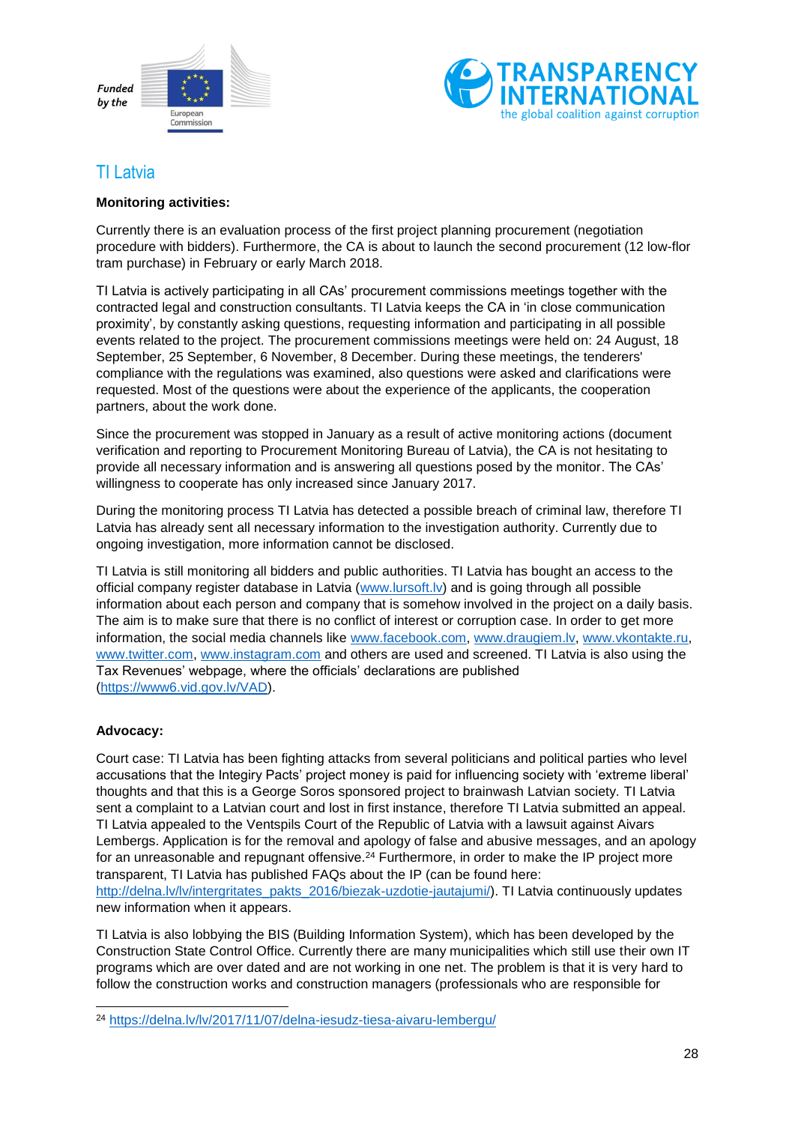



# <span id="page-27-0"></span>TI Latvia

#### **Monitoring activities:**

Currently there is an evaluation process of the first project planning procurement (negotiation procedure with bidders). Furthermore, the CA is about to launch the second procurement (12 low-flor tram purchase) in February or early March 2018.

TI Latvia is actively participating in all CAs' procurement commissions meetings together with the contracted legal and construction consultants. TI Latvia keeps the CA in 'in close communication proximity', by constantly asking questions, requesting information and participating in all possible events related to the project. The procurement commissions meetings were held on: 24 August, 18 September, 25 September, 6 November, 8 December. During these meetings, the tenderers' compliance with the regulations was examined, also questions were asked and clarifications were requested. Most of the questions were about the experience of the applicants, the cooperation partners, about the work done.

Since the procurement was stopped in January as a result of active monitoring actions (document verification and reporting to Procurement Monitoring Bureau of Latvia), the CA is not hesitating to provide all necessary information and is answering all questions posed by the monitor. The CAs' willingness to cooperate has only increased since January 2017.

During the monitoring process TI Latvia has detected a possible breach of criminal law, therefore TI Latvia has already sent all necessary information to the investigation authority. Currently due to ongoing investigation, more information cannot be disclosed.

TI Latvia is still monitoring all bidders and public authorities. TI Latvia has bought an access to the official company register database in Latvia [\(www.lursoft.lv\)](http://www.lursoft.lv/) and is going through all possible information about each person and company that is somehow involved in the project on a daily basis. The aim is to make sure that there is no conflict of interest or corruption case. In order to get more information, the social media channels like [www.facebook.com,](http://www.facebook.com/) [www.draugiem.lv,](http://www.draugiem.lv/) [www.vkontakte.ru,](http://www.vkontakte.ru/) [www.twitter.com,](http://www.twitter.com/) [www.instagram.com](http://www.instagram.com/) and others are used and screened. TI Latvia is also using the Tax Revenues' webpage, where the officials' declarations are published [\(https://www6.vid.gov.lv/VAD\)](https://www6.vid.gov.lv/VAD).

#### **Advocacy:**

1

Court case: TI Latvia has been fighting attacks from several politicians and political parties who level accusations that the Integiry Pacts' project money is paid for influencing society with 'extreme liberal' thoughts and that this is a George Soros sponsored project to brainwash Latvian society. TI Latvia sent a complaint to a Latvian court and lost in first instance, therefore TI Latvia submitted an appeal. TI Latvia appealed to the Ventspils Court of the Republic of Latvia with a lawsuit against Aivars Lembergs. Application is for the removal and apology of false and abusive messages, and an apology for an unreasonable and repugnant offensive.<sup>24</sup> Furthermore, in order to make the IP project more transparent, TI Latvia has published FAQs about the IP (can be found here: [http://delna.lv/lv/intergritates\\_pakts\\_2016/biezak-uzdotie-jautajumi/\)](http://delna.lv/lv/intergritates_pakts_2016/biezak-uzdotie-jautajumi/). TI Latvia continuously updates new information when it appears.

TI Latvia is also lobbying the BIS (Building Information System), which has been developed by the Construction State Control Office. Currently there are many municipalities which still use their own IT programs which are over dated and are not working in one net. The problem is that it is very hard to follow the construction works and construction managers (professionals who are responsible for

<sup>24</sup> <https://delna.lv/lv/2017/11/07/delna-iesudz-tiesa-aivaru-lembergu/>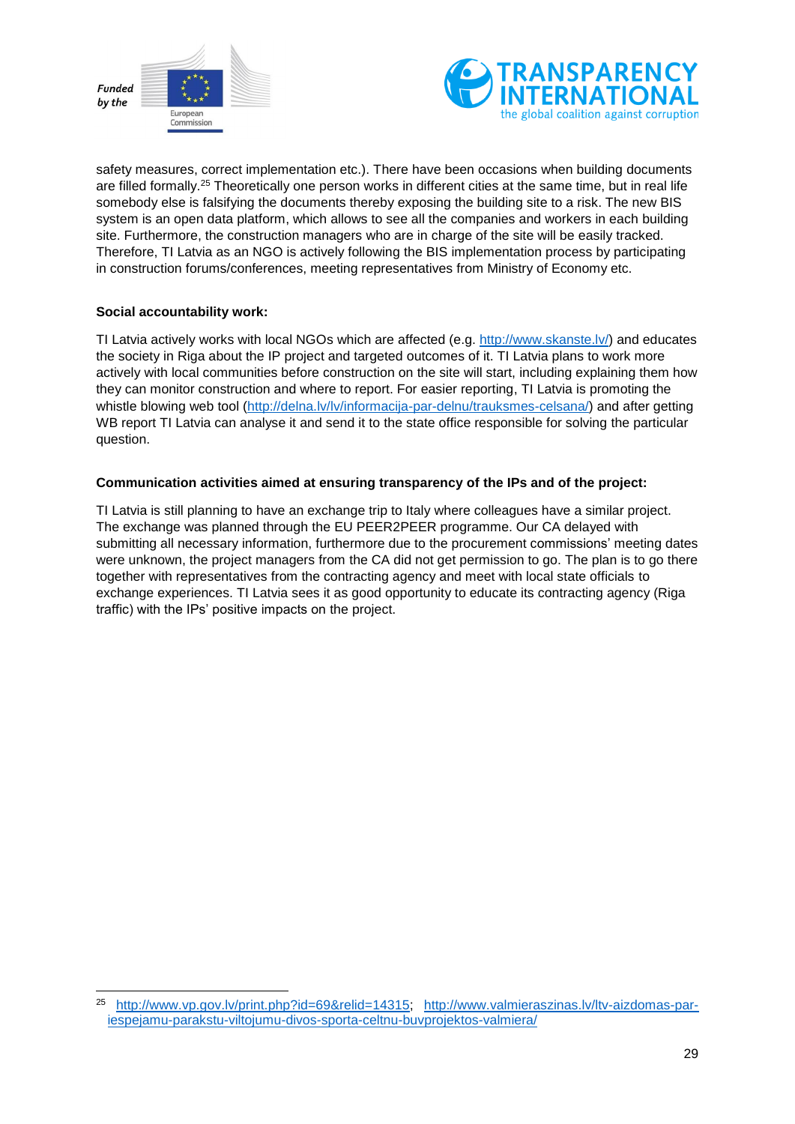



safety measures, correct implementation etc.). There have been occasions when building documents are filled formally.<sup>25</sup> Theoretically one person works in different cities at the same time, but in real life somebody else is falsifying the documents thereby exposing the building site to a risk. The new BIS system is an open data platform, which allows to see all the companies and workers in each building site. Furthermore, the construction managers who are in charge of the site will be easily tracked. Therefore, TI Latvia as an NGO is actively following the BIS implementation process by participating in construction forums/conferences, meeting representatives from Ministry of Economy etc.

#### **Social accountability work:**

-

TI Latvia actively works with local NGOs which are affected (e.g. [http://www.skanste.lv/\)](http://www.skanste.lv/) and educates the society in Riga about the IP project and targeted outcomes of it. TI Latvia plans to work more actively with local communities before construction on the site will start, including explaining them how they can monitor construction and where to report. For easier reporting, TI Latvia is promoting the whistle blowing web tool [\(http://delna.lv/lv/informacija-par-delnu/trauksmes-celsana/\)](http://delna.lv/lv/informacija-par-delnu/trauksmes-celsana/) and after getting WB report TI Latvia can analyse it and send it to the state office responsible for solving the particular question.

#### **Communication activities aimed at ensuring transparency of the IPs and of the project:**

TI Latvia is still planning to have an exchange trip to Italy where colleagues have a similar project. The exchange was planned through the EU PEER2PEER programme. Our CA delayed with submitting all necessary information, furthermore due to the procurement commissions' meeting dates were unknown, the project managers from the CA did not get permission to go. The plan is to go there together with representatives from the contracting agency and meet with local state officials to exchange experiences. TI Latvia sees it as good opportunity to educate its contracting agency (Riga traffic) with the IPs' positive impacts on the project.

<sup>25</sup> [http://www.vp.gov.lv/print.php?id=69&relid=14315;](http://www.vp.gov.lv/print.php?id=69&relid=14315) [http://www.valmieraszinas.lv/ltv-aizdomas-par](http://www.valmieraszinas.lv/ltv-aizdomas-par-iespejamu-parakstu-viltojumu-divos-sporta-celtnu-buvprojektos-valmiera/)[iespejamu-parakstu-viltojumu-divos-sporta-celtnu-buvprojektos-valmiera/](http://www.valmieraszinas.lv/ltv-aizdomas-par-iespejamu-parakstu-viltojumu-divos-sporta-celtnu-buvprojektos-valmiera/)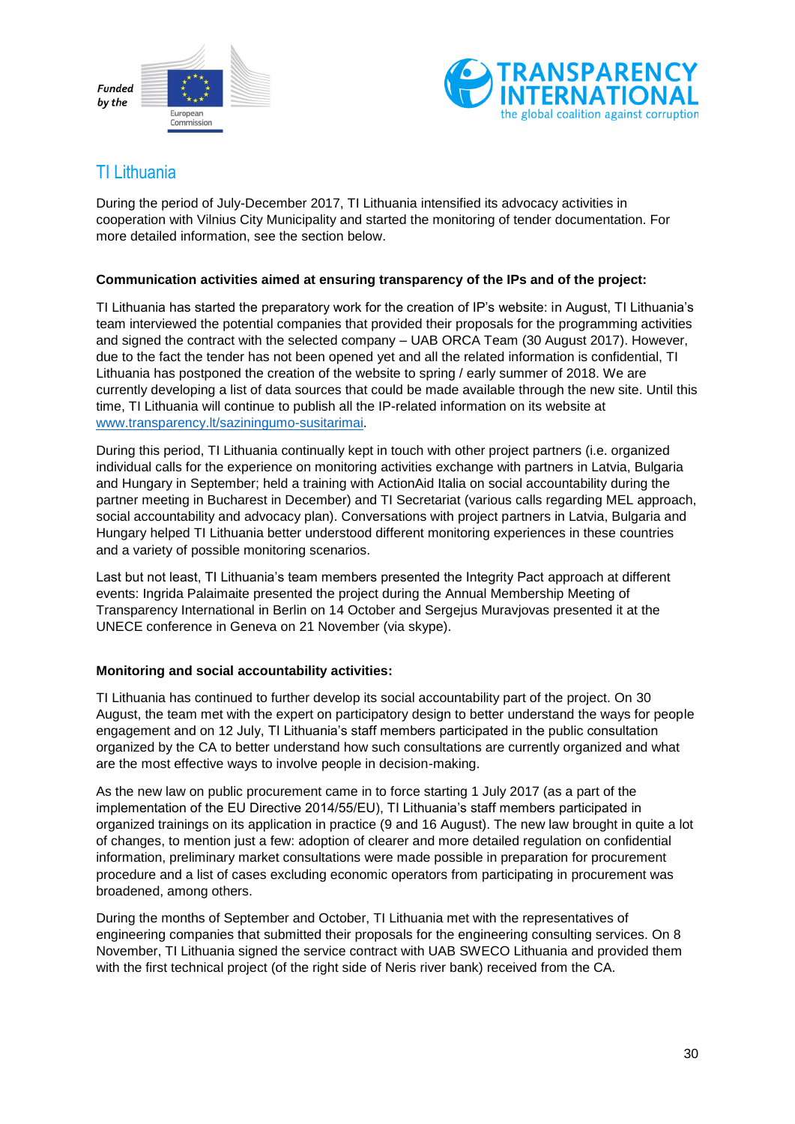



### <span id="page-29-0"></span>TI Lithuania

During the period of July-December 2017, TI Lithuania intensified its advocacy activities in cooperation with Vilnius City Municipality and started the monitoring of tender documentation. For more detailed information, see the section below.

#### **Communication activities aimed at ensuring transparency of the IPs and of the project:**

TI Lithuania has started the preparatory work for the creation of IP's website: in August, TI Lithuania's team interviewed the potential companies that provided their proposals for the programming activities and signed the contract with the selected company – UAB ORCA Team (30 August 2017). However, due to the fact the tender has not been opened yet and all the related information is confidential, TI Lithuania has postponed the creation of the website to spring / early summer of 2018. We are currently developing a list of data sources that could be made available through the new site. Until this time, TI Lithuania will continue to publish all the IP-related information on its website at [www.transparency.lt/saziningumo-susitarimai.](http://www.transparency.lt/saziningumo-susitarimai)

During this period, TI Lithuania continually kept in touch with other project partners (i.e. organized individual calls for the experience on monitoring activities exchange with partners in Latvia, Bulgaria and Hungary in September; held a training with ActionAid Italia on social accountability during the partner meeting in Bucharest in December) and TI Secretariat (various calls regarding MEL approach, social accountability and advocacy plan). Conversations with project partners in Latvia, Bulgaria and Hungary helped TI Lithuania better understood different monitoring experiences in these countries and a variety of possible monitoring scenarios.

Last but not least, TI Lithuania's team members presented the Integrity Pact approach at different events: Ingrida Palaimaite presented the project during the Annual Membership Meeting of Transparency International in Berlin on 14 October and Sergejus Muravjovas presented it at the UNECE conference in Geneva on 21 November (via skype).

#### **Monitoring and social accountability activities:**

TI Lithuania has continued to further develop its social accountability part of the project. On 30 August, the team met with the expert on participatory design to better understand the ways for people engagement and on 12 July, TI Lithuania's staff members participated in the public consultation organized by the CA to better understand how such consultations are currently organized and what are the most effective ways to involve people in decision-making.

As the new law on public procurement came in to force starting 1 July 2017 (as a part of the implementation of the EU Directive 2014/55/EU), TI Lithuania's staff members participated in organized trainings on its application in practice (9 and 16 August). The new law brought in quite a lot of changes, to mention just a few: adoption of clearer and more detailed regulation on confidential information, preliminary market consultations were made possible in preparation for procurement procedure and a list of cases excluding economic operators from participating in procurement was broadened, among others.

During the months of September and October, TI Lithuania met with the representatives of engineering companies that submitted their proposals for the engineering consulting services. On 8 November, TI Lithuania signed the service contract with UAB SWECO Lithuania and provided them with the first technical project (of the right side of Neris river bank) received from the CA.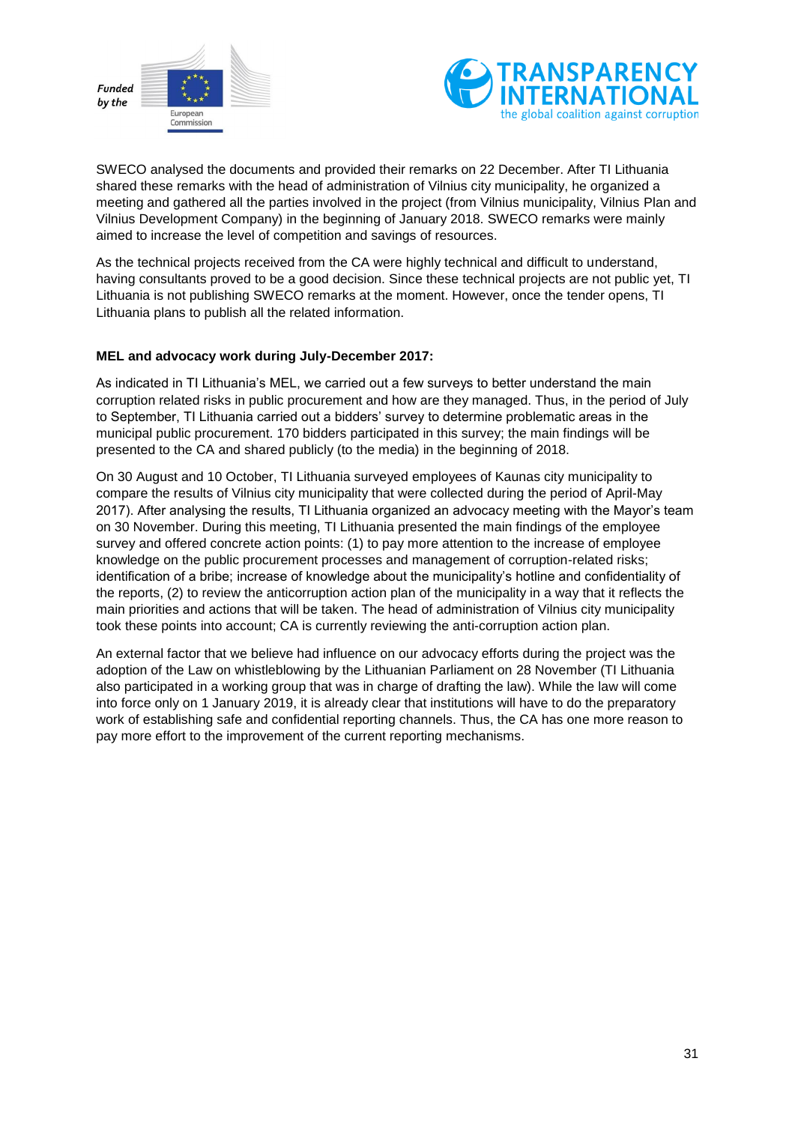



SWECO analysed the documents and provided their remarks on 22 December. After TI Lithuania shared these remarks with the head of administration of Vilnius city municipality, he organized a meeting and gathered all the parties involved in the project (from Vilnius municipality, Vilnius Plan and Vilnius Development Company) in the beginning of January 2018. SWECO remarks were mainly aimed to increase the level of competition and savings of resources.

As the technical projects received from the CA were highly technical and difficult to understand, having consultants proved to be a good decision. Since these technical projects are not public yet, TI Lithuania is not publishing SWECO remarks at the moment. However, once the tender opens, TI Lithuania plans to publish all the related information.

#### **MEL and advocacy work during July-December 2017:**

As indicated in TI Lithuania's MEL, we carried out a few surveys to better understand the main corruption related risks in public procurement and how are they managed. Thus, in the period of July to September, TI Lithuania carried out a bidders' survey to determine problematic areas in the municipal public procurement. 170 bidders participated in this survey; the main findings will be presented to the CA and shared publicly (to the media) in the beginning of 2018.

On 30 August and 10 October, TI Lithuania surveyed employees of Kaunas city municipality to compare the results of Vilnius city municipality that were collected during the period of April-May 2017). After analysing the results, TI Lithuania organized an advocacy meeting with the Mayor's team on 30 November. During this meeting, TI Lithuania presented the main findings of the employee survey and offered concrete action points: (1) to pay more attention to the increase of employee knowledge on the public procurement processes and management of corruption-related risks; identification of a bribe; increase of knowledge about the municipality's hotline and confidentiality of the reports, (2) to review the anticorruption action plan of the municipality in a way that it reflects the main priorities and actions that will be taken. The head of administration of Vilnius city municipality took these points into account; CA is currently reviewing the anti-corruption action plan.

An external factor that we believe had influence on our advocacy efforts during the project was the adoption of the Law on whistleblowing by the Lithuanian Parliament on 28 November (TI Lithuania also participated in a working group that was in charge of drafting the law). While the law will come into force only on 1 January 2019, it is already clear that institutions will have to do the preparatory work of establishing safe and confidential reporting channels. Thus, the CA has one more reason to pay more effort to the improvement of the current reporting mechanisms.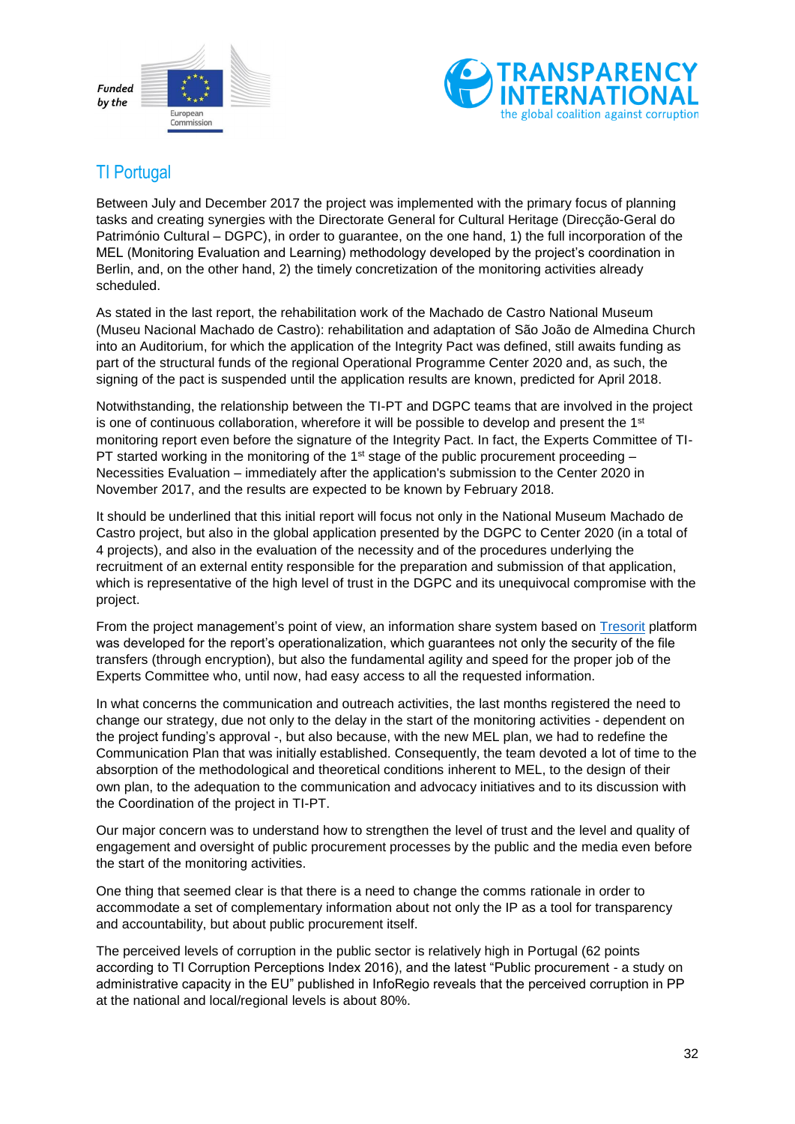



# <span id="page-31-0"></span>TI Portugal

Between July and December 2017 the project was implemented with the primary focus of planning tasks and creating synergies with the Directorate General for Cultural Heritage (Direcção-Geral do Património Cultural – DGPC), in order to guarantee, on the one hand, 1) the full incorporation of the MEL (Monitoring Evaluation and Learning) methodology developed by the project's coordination in Berlin, and, on the other hand, 2) the timely concretization of the monitoring activities already scheduled.

As stated in the last report, the rehabilitation work of the Machado de Castro National Museum (Museu Nacional Machado de Castro): rehabilitation and adaptation of São João de Almedina Church into an Auditorium, for which the application of the Integrity Pact was defined, still awaits funding as part of the structural funds of the regional Operational Programme Center 2020 and, as such, the signing of the pact is suspended until the application results are known, predicted for April 2018.

Notwithstanding, the relationship between the TI-PT and DGPC teams that are involved in the project is one of continuous collaboration, wherefore it will be possible to develop and present the  $1<sup>st</sup>$ monitoring report even before the signature of the Integrity Pact. In fact, the Experts Committee of TI-PT started working in the monitoring of the 1<sup>st</sup> stage of the public procurement proceeding  $-$ Necessities Evaluation – immediately after the application's submission to the Center 2020 in November 2017, and the results are expected to be known by February 2018.

It should be underlined that this initial report will focus not only in the National Museum Machado de Castro project, but also in the global application presented by the DGPC to Center 2020 (in a total of 4 projects), and also in the evaluation of the necessity and of the procedures underlying the recruitment of an external entity responsible for the preparation and submission of that application, which is representative of the high level of trust in the DGPC and its unequivocal compromise with the project.

From the project management's point of view, an information share system based on [Tresorit](https://tresorit.com/) platform was developed for the report's operationalization, which guarantees not only the security of the file transfers (through encryption), but also the fundamental agility and speed for the proper job of the Experts Committee who, until now, had easy access to all the requested information.

In what concerns the communication and outreach activities, the last months registered the need to change our strategy, due not only to the delay in the start of the monitoring activities - dependent on the project funding's approval -, but also because, with the new MEL plan, we had to redefine the Communication Plan that was initially established. Consequently, the team devoted a lot of time to the absorption of the methodological and theoretical conditions inherent to MEL, to the design of their own plan, to the adequation to the communication and advocacy initiatives and to its discussion with the Coordination of the project in TI-PT.

Our major concern was to understand how to strengthen the level of trust and the level and quality of engagement and oversight of public procurement processes by the public and the media even before the start of the monitoring activities.

One thing that seemed clear is that there is a need to change the comms rationale in order to accommodate a set of complementary information about not only the IP as a tool for transparency and accountability, but about public procurement itself.

The perceived levels of corruption in the public sector is relatively high in Portugal (62 points according to TI Corruption Perceptions Index 2016), and the latest "Public procurement - a study on administrative capacity in the EU" published in InfoRegio reveals that the perceived corruption in PP at the national and local/regional levels is about 80%.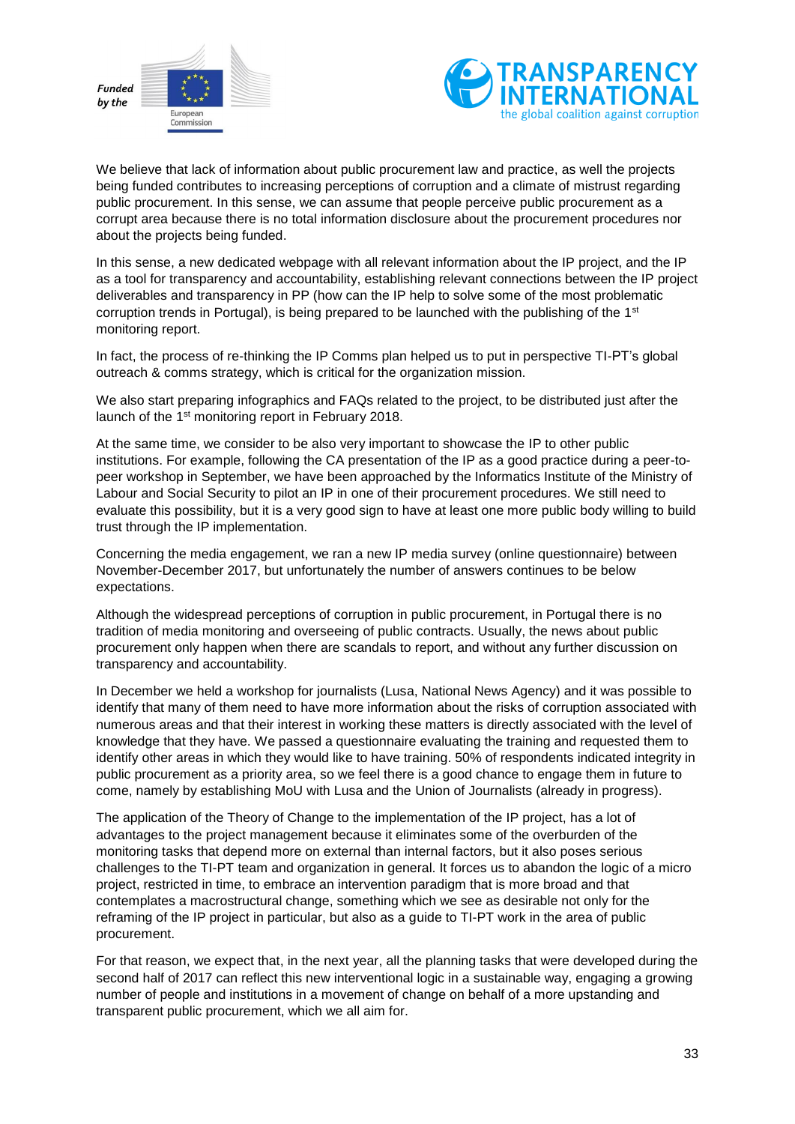



We believe that lack of information about public procurement law and practice, as well the projects being funded contributes to increasing perceptions of corruption and a climate of mistrust regarding public procurement. In this sense, we can assume that people perceive public procurement as a corrupt area because there is no total information disclosure about the procurement procedures nor about the projects being funded.

In this sense, a new dedicated webpage with all relevant information about the IP project, and the IP as a tool for transparency and accountability, establishing relevant connections between the IP project deliverables and transparency in PP (how can the IP help to solve some of the most problematic corruption trends in Portugal), is being prepared to be launched with the publishing of the 1st monitoring report.

In fact, the process of re-thinking the IP Comms plan helped us to put in perspective TI-PT's global outreach & comms strategy, which is critical for the organization mission.

We also start preparing infographics and FAQs related to the project, to be distributed just after the launch of the 1st monitoring report in February 2018.

At the same time, we consider to be also very important to showcase the IP to other public institutions. For example, following the CA presentation of the IP as a good practice during a peer-topeer workshop in September, we have been approached by the Informatics Institute of the Ministry of Labour and Social Security to pilot an IP in one of their procurement procedures. We still need to evaluate this possibility, but it is a very good sign to have at least one more public body willing to build trust through the IP implementation.

Concerning the media engagement, we ran a new IP media survey (online questionnaire) between November-December 2017, but unfortunately the number of answers continues to be below expectations.

Although the widespread perceptions of corruption in public procurement, in Portugal there is no tradition of media monitoring and overseeing of public contracts. Usually, the news about public procurement only happen when there are scandals to report, and without any further discussion on transparency and accountability.

In December we held a workshop for journalists (Lusa, National News Agency) and it was possible to identify that many of them need to have more information about the risks of corruption associated with numerous areas and that their interest in working these matters is directly associated with the level of knowledge that they have. We passed a questionnaire evaluating the training and requested them to identify other areas in which they would like to have training. 50% of respondents indicated integrity in public procurement as a priority area, so we feel there is a good chance to engage them in future to come, namely by establishing MoU with Lusa and the Union of Journalists (already in progress).

The application of the Theory of Change to the implementation of the IP project, has a lot of advantages to the project management because it eliminates some of the overburden of the monitoring tasks that depend more on external than internal factors, but it also poses serious challenges to the TI-PT team and organization in general. It forces us to abandon the logic of a micro project, restricted in time, to embrace an intervention paradigm that is more broad and that contemplates a macrostructural change, something which we see as desirable not only for the reframing of the IP project in particular, but also as a guide to TI-PT work in the area of public procurement.

For that reason, we expect that, in the next year, all the planning tasks that were developed during the second half of 2017 can reflect this new interventional logic in a sustainable way, engaging a growing number of people and institutions in a movement of change on behalf of a more upstanding and transparent public procurement, which we all aim for.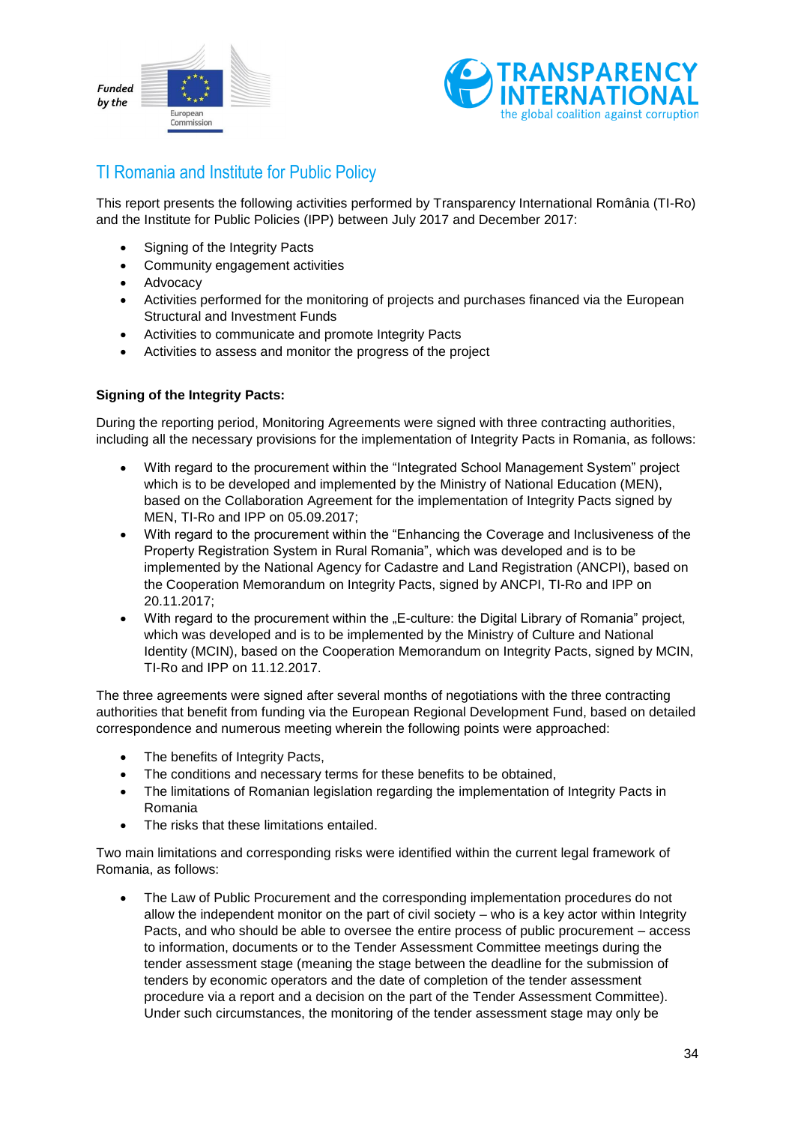



### <span id="page-33-0"></span>TI Romania and Institute for Public Policy

This report presents the following activities performed by Transparency International România (TI-Ro) and the Institute for Public Policies (IPP) between July 2017 and December 2017:

- Signing of the Integrity Pacts
- Community engagement activities
- Advocacy
- Activities performed for the monitoring of projects and purchases financed via the European Structural and Investment Funds
- Activities to communicate and promote Integrity Pacts
- Activities to assess and monitor the progress of the project

#### **Signing of the Integrity Pacts:**

During the reporting period, Monitoring Agreements were signed with three contracting authorities, including all the necessary provisions for the implementation of Integrity Pacts in Romania, as follows:

- With regard to the procurement within the "Integrated School Management System" project which is to be developed and implemented by the Ministry of National Education (MEN). based on the Collaboration Agreement for the implementation of Integrity Pacts signed by MEN, TI-Ro and IPP on 05.09.2017;
- With regard to the procurement within the "Enhancing the Coverage and Inclusiveness of the Property Registration System in Rural Romania", which was developed and is to be implemented by the National Agency for Cadastre and Land Registration (ANCPI), based on the Cooperation Memorandum on Integrity Pacts, signed by ANCPI, TI-Ro and IPP on 20.11.2017;
- With regard to the procurement within the "E-culture: the Digital Library of Romania" project, which was developed and is to be implemented by the Ministry of Culture and National Identity (MCIN), based on the Cooperation Memorandum on Integrity Pacts, signed by MCIN, TI-Ro and IPP on 11.12.2017.

The three agreements were signed after several months of negotiations with the three contracting authorities that benefit from funding via the European Regional Development Fund, based on detailed correspondence and numerous meeting wherein the following points were approached:

- The benefits of Integrity Pacts,
- The conditions and necessary terms for these benefits to be obtained,
- The limitations of Romanian legislation regarding the implementation of Integrity Pacts in Romania
- The risks that these limitations entailed.

Two main limitations and corresponding risks were identified within the current legal framework of Romania, as follows:

 The Law of Public Procurement and the corresponding implementation procedures do not allow the independent monitor on the part of civil society – who is a key actor within Integrity Pacts, and who should be able to oversee the entire process of public procurement – access to information, documents or to the Tender Assessment Committee meetings during the tender assessment stage (meaning the stage between the deadline for the submission of tenders by economic operators and the date of completion of the tender assessment procedure via a report and a decision on the part of the Tender Assessment Committee). Under such circumstances, the monitoring of the tender assessment stage may only be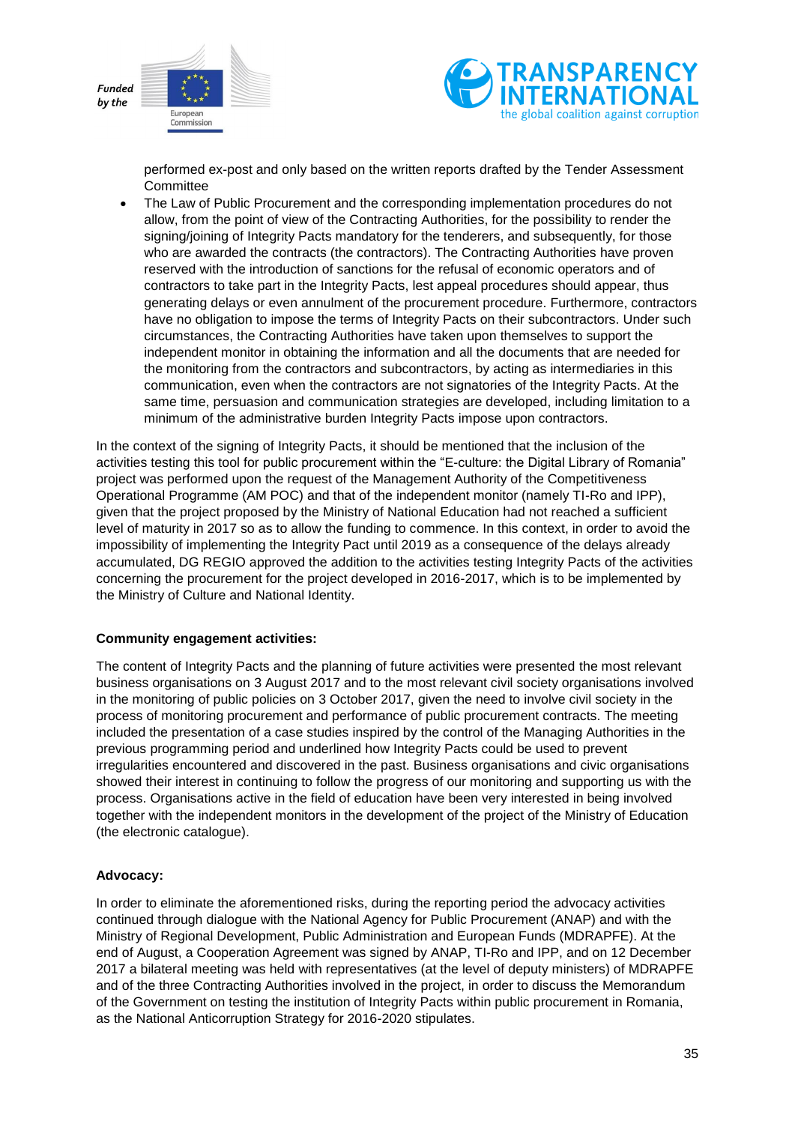



performed ex-post and only based on the written reports drafted by the Tender Assessment **Committee** 

 The Law of Public Procurement and the corresponding implementation procedures do not allow, from the point of view of the Contracting Authorities, for the possibility to render the signing/joining of Integrity Pacts mandatory for the tenderers, and subsequently, for those who are awarded the contracts (the contractors). The Contracting Authorities have proven reserved with the introduction of sanctions for the refusal of economic operators and of contractors to take part in the Integrity Pacts, lest appeal procedures should appear, thus generating delays or even annulment of the procurement procedure. Furthermore, contractors have no obligation to impose the terms of Integrity Pacts on their subcontractors. Under such circumstances, the Contracting Authorities have taken upon themselves to support the independent monitor in obtaining the information and all the documents that are needed for the monitoring from the contractors and subcontractors, by acting as intermediaries in this communication, even when the contractors are not signatories of the Integrity Pacts. At the same time, persuasion and communication strategies are developed, including limitation to a minimum of the administrative burden Integrity Pacts impose upon contractors.

In the context of the signing of Integrity Pacts, it should be mentioned that the inclusion of the activities testing this tool for public procurement within the "E-culture: the Digital Library of Romania" project was performed upon the request of the Management Authority of the Competitiveness Operational Programme (AM POC) and that of the independent monitor (namely TI-Ro and IPP), given that the project proposed by the Ministry of National Education had not reached a sufficient level of maturity in 2017 so as to allow the funding to commence. In this context, in order to avoid the impossibility of implementing the Integrity Pact until 2019 as a consequence of the delays already accumulated, DG REGIO approved the addition to the activities testing Integrity Pacts of the activities concerning the procurement for the project developed in 2016-2017, which is to be implemented by the Ministry of Culture and National Identity.

#### **Community engagement activities:**

The content of Integrity Pacts and the planning of future activities were presented the most relevant business organisations on 3 August 2017 and to the most relevant civil society organisations involved in the monitoring of public policies on 3 October 2017, given the need to involve civil society in the process of monitoring procurement and performance of public procurement contracts. The meeting included the presentation of a case studies inspired by the control of the Managing Authorities in the previous programming period and underlined how Integrity Pacts could be used to prevent irregularities encountered and discovered in the past. Business organisations and civic organisations showed their interest in continuing to follow the progress of our monitoring and supporting us with the process. Organisations active in the field of education have been very interested in being involved together with the independent monitors in the development of the project of the Ministry of Education (the electronic catalogue).

#### **Advocacy:**

In order to eliminate the aforementioned risks, during the reporting period the advocacy activities continued through dialogue with the National Agency for Public Procurement (ANAP) and with the Ministry of Regional Development, Public Administration and European Funds (MDRAPFE). At the end of August, a Cooperation Agreement was signed by ANAP, TI-Ro and IPP, and on 12 December 2017 a bilateral meeting was held with representatives (at the level of deputy ministers) of MDRAPFE and of the three Contracting Authorities involved in the project, in order to discuss the Memorandum of the Government on testing the institution of Integrity Pacts within public procurement in Romania, as the National Anticorruption Strategy for 2016-2020 stipulates.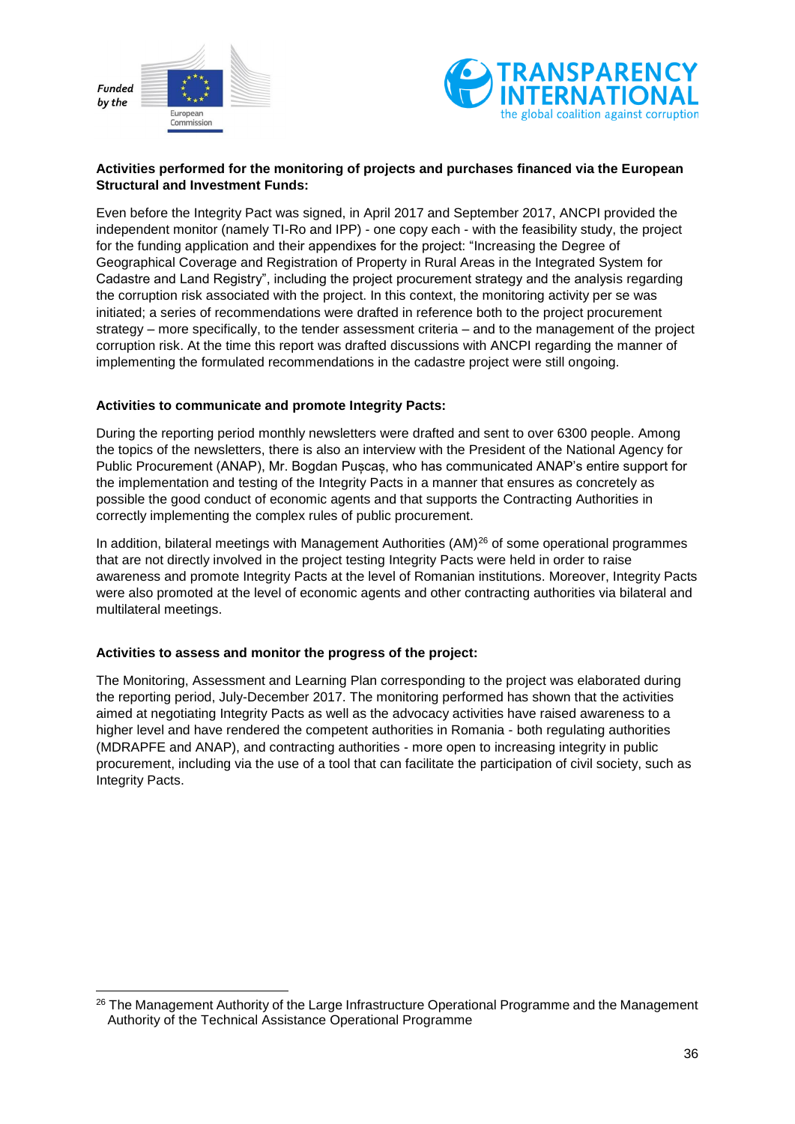



#### **Activities performed for the monitoring of projects and purchases financed via the European Structural and Investment Funds:**

Even before the Integrity Pact was signed, in April 2017 and September 2017, ANCPI provided the independent monitor (namely TI-Ro and IPP) - one copy each - with the feasibility study, the project for the funding application and their appendixes for the project: "Increasing the Degree of Geographical Coverage and Registration of Property in Rural Areas in the Integrated System for Cadastre and Land Registry", including the project procurement strategy and the analysis regarding the corruption risk associated with the project. In this context, the monitoring activity per se was initiated; a series of recommendations were drafted in reference both to the project procurement strategy – more specifically, to the tender assessment criteria – and to the management of the project corruption risk. At the time this report was drafted discussions with ANCPI regarding the manner of implementing the formulated recommendations in the cadastre project were still ongoing.

#### **Activities to communicate and promote Integrity Pacts:**

During the reporting period monthly newsletters were drafted and sent to over 6300 people. Among the topics of the newsletters, there is also an interview with the President of the National Agency for Public Procurement (ANAP), Mr. Bogdan Pușcaș, who has communicated ANAP's entire support for the implementation and testing of the Integrity Pacts in a manner that ensures as concretely as possible the good conduct of economic agents and that supports the Contracting Authorities in correctly implementing the complex rules of public procurement.

In addition, bilateral meetings with Management Authorities (AM)<sup>26</sup> of some operational programmes that are not directly involved in the project testing Integrity Pacts were held in order to raise awareness and promote Integrity Pacts at the level of Romanian institutions. Moreover, Integrity Pacts were also promoted at the level of economic agents and other contracting authorities via bilateral and multilateral meetings.

#### **Activities to assess and monitor the progress of the project:**

-

The Monitoring, Assessment and Learning Plan corresponding to the project was elaborated during the reporting period, July-December 2017. The monitoring performed has shown that the activities aimed at negotiating Integrity Pacts as well as the advocacy activities have raised awareness to a higher level and have rendered the competent authorities in Romania - both regulating authorities (MDRAPFE and ANAP), and contracting authorities - more open to increasing integrity in public procurement, including via the use of a tool that can facilitate the participation of civil society, such as Integrity Pacts.

<sup>&</sup>lt;sup>26</sup> The Management Authority of the Large Infrastructure Operational Programme and the Management Authority of the Technical Assistance Operational Programme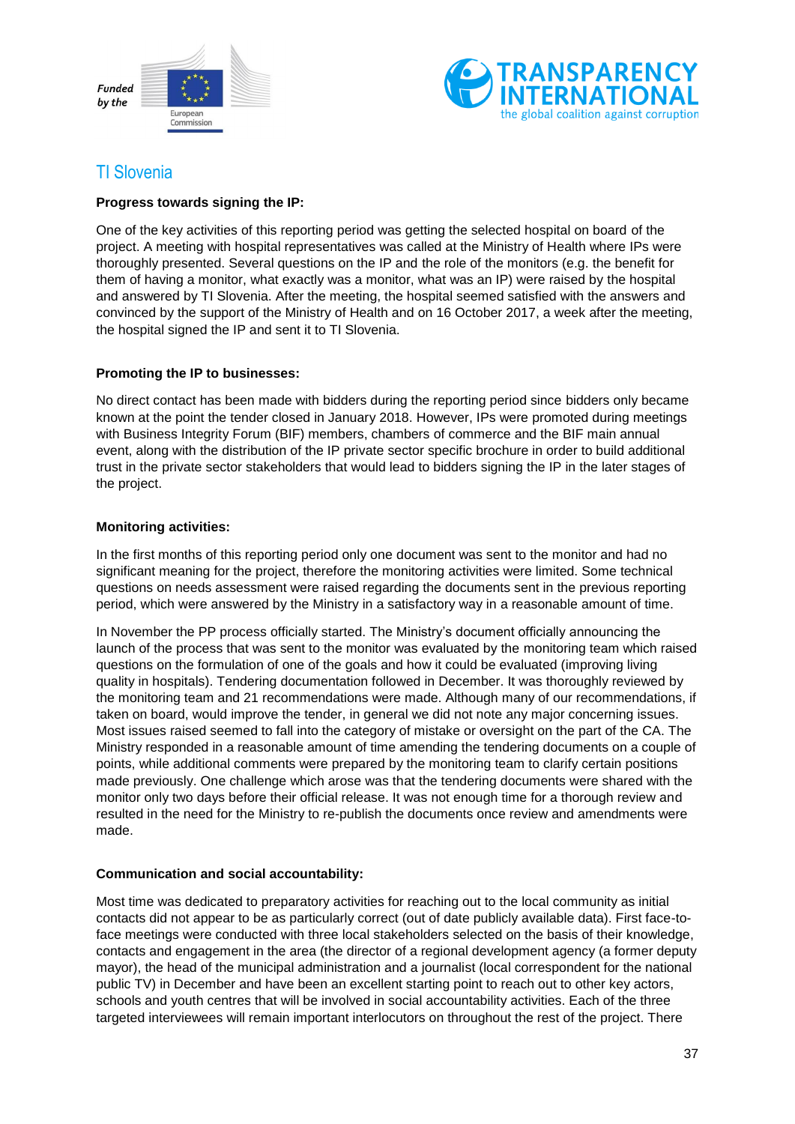



### <span id="page-36-0"></span>TI Slovenia

#### **Progress towards signing the IP:**

One of the key activities of this reporting period was getting the selected hospital on board of the project. A meeting with hospital representatives was called at the Ministry of Health where IPs were thoroughly presented. Several questions on the IP and the role of the monitors (e.g. the benefit for them of having a monitor, what exactly was a monitor, what was an IP) were raised by the hospital and answered by TI Slovenia. After the meeting, the hospital seemed satisfied with the answers and convinced by the support of the Ministry of Health and on 16 October 2017, a week after the meeting, the hospital signed the IP and sent it to TI Slovenia.

#### **Promoting the IP to businesses:**

No direct contact has been made with bidders during the reporting period since bidders only became known at the point the tender closed in January 2018. However, IPs were promoted during meetings with Business Integrity Forum (BIF) members, chambers of commerce and the BIF main annual event, along with the distribution of the IP private sector specific brochure in order to build additional trust in the private sector stakeholders that would lead to bidders signing the IP in the later stages of the project.

#### **Monitoring activities:**

In the first months of this reporting period only one document was sent to the monitor and had no significant meaning for the project, therefore the monitoring activities were limited. Some technical questions on needs assessment were raised regarding the documents sent in the previous reporting period, which were answered by the Ministry in a satisfactory way in a reasonable amount of time.

In November the PP process officially started. The Ministry's document officially announcing the launch of the process that was sent to the monitor was evaluated by the monitoring team which raised questions on the formulation of one of the goals and how it could be evaluated (improving living quality in hospitals). Tendering documentation followed in December. It was thoroughly reviewed by the monitoring team and 21 recommendations were made. Although many of our recommendations, if taken on board, would improve the tender, in general we did not note any major concerning issues. Most issues raised seemed to fall into the category of mistake or oversight on the part of the CA. The Ministry responded in a reasonable amount of time amending the tendering documents on a couple of points, while additional comments were prepared by the monitoring team to clarify certain positions made previously. One challenge which arose was that the tendering documents were shared with the monitor only two days before their official release. It was not enough time for a thorough review and resulted in the need for the Ministry to re-publish the documents once review and amendments were made.

#### **Communication and social accountability:**

Most time was dedicated to preparatory activities for reaching out to the local community as initial contacts did not appear to be as particularly correct (out of date publicly available data). First face-toface meetings were conducted with three local stakeholders selected on the basis of their knowledge, contacts and engagement in the area (the director of a regional development agency (a former deputy mayor), the head of the municipal administration and a journalist (local correspondent for the national public TV) in December and have been an excellent starting point to reach out to other key actors, schools and youth centres that will be involved in social accountability activities. Each of the three targeted interviewees will remain important interlocutors on throughout the rest of the project. There